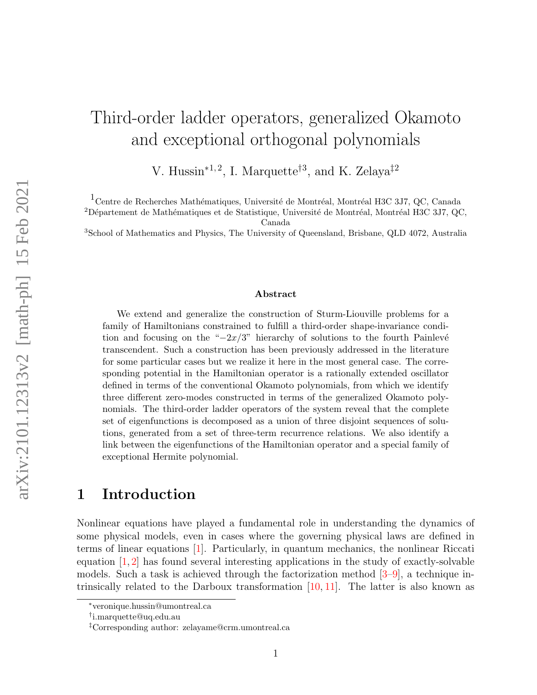# Third-order ladder operators, generalized Okamoto and exceptional orthogonal polynomials

V. Hussin<sup>\*1,2</sup>, I. Marquette<sup>†3</sup>, and K. Zelaya<sup>‡2</sup>

 $1$ Centre de Recherches Mathématiques, Université de Montréal, Montréal H3C 3J7, QC, Canada

 $2$ Département de Mathématiques et de Statistique, Université de Montréal, Montréal H3C 3J7, QC,

Canada

<sup>3</sup>School of Mathematics and Physics, The University of Queensland, Brisbane, QLD 4072, Australia

#### Abstract

We extend and generalize the construction of Sturm-Liouville problems for a family of Hamiltonians constrained to fulfill a third-order shape-invariance condition and focusing on the " $-2x/3$ " hierarchy of solutions to the fourth Painlevé transcendent. Such a construction has been previously addressed in the literature for some particular cases but we realize it here in the most general case. The corresponding potential in the Hamiltonian operator is a rationally extended oscillator defined in terms of the conventional Okamoto polynomials, from which we identify three different zero-modes constructed in terms of the generalized Okamoto polynomials. The third-order ladder operators of the system reveal that the complete set of eigenfunctions is decomposed as a union of three disjoint sequences of solutions, generated from a set of three-term recurrence relations. We also identify a link between the eigenfunctions of the Hamiltonian operator and a special family of exceptional Hermite polynomial.

### 1 Introduction

Nonlinear equations have played a fundamental role in understanding the dynamics of some physical models, even in cases where the governing physical laws are defined in terms of linear equations [\[1\]](#page-28-0). Particularly, in quantum mechanics, the nonlinear Riccati equation  $[1, 2]$  $[1, 2]$  $[1, 2]$  has found several interesting applications in the study of exactly-solvable models. Such a task is achieved through the factorization method [\[3–](#page-28-2)[9\]](#page-28-3), a technique intrinsically related to the Darboux transformation  $[10, 11]$  $[10, 11]$  $[10, 11]$ . The latter is also known as

<sup>∗</sup>veronique.hussin@umontreal.ca

<sup>†</sup> i.marquette@uq.edu.au

<sup>‡</sup>Corresponding author: zelayame@crm.umontreal.ca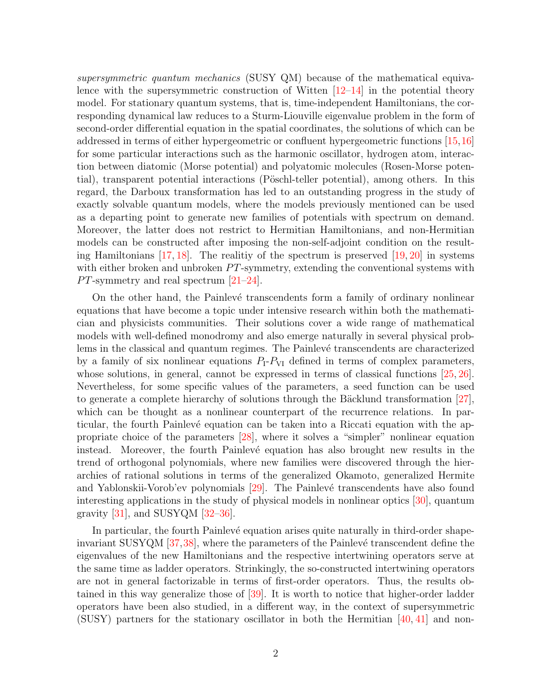supersymmetric quantum mechanics (SUSY QM) because of the mathematical equivalence with the supersymmetric construction of Witten [\[12](#page-28-6)[–14\]](#page-28-7) in the potential theory model. For stationary quantum systems, that is, time-independent Hamiltonians, the corresponding dynamical law reduces to a Sturm-Liouville eigenvalue problem in the form of second-order differential equation in the spatial coordinates, the solutions of which can be addressed in terms of either hypergeometric or confluent hypergeometric functions [\[15,](#page-28-8)[16\]](#page-28-9) for some particular interactions such as the harmonic oscillator, hydrogen atom, interaction between diatomic (Morse potential) and polyatomic molecules (Rosen-Morse potential), transparent potential interactions (Pöschl-teller potential), among others. In this regard, the Darboux transformation has led to an outstanding progress in the study of exactly solvable quantum models, where the models previously mentioned can be used as a departing point to generate new families of potentials with spectrum on demand. Moreover, the latter does not restrict to Hermitian Hamiltonians, and non-Hermitian models can be constructed after imposing the non-self-adjoint condition on the resulting Hamiltonians  $[17, 18]$  $[17, 18]$  $[17, 18]$ . The realitiy of the spectrum is preserved  $[19, 20]$  $[19, 20]$  $[19, 20]$  in systems with either broken and unbroken  $PT$ -symmetry, extending the conventional systems with  $PT$ -symmetry and real spectrum  $[21-24]$  $[21-24]$ .

On the other hand, the Painlevé transcendents form a family of ordinary nonlinear equations that have become a topic under intensive research within both the mathematician and physicists communities. Their solutions cover a wide range of mathematical models with well-defined monodromy and also emerge naturally in several physical problems in the classical and quantum regimes. The Painlevé transcendents are characterized by a family of six nonlinear equations  $P_1 - P_{VI}$  defined in terms of complex parameters, whose solutions, in general, cannot be expressed in terms of classical functions [\[25,](#page-29-5) [26\]](#page-29-6). Nevertheless, for some specific values of the parameters, a seed function can be used to generate a complete hierarchy of solutions through the Bäcklund transformation  $[27]$ , which can be thought as a nonlinear counterpart of the recurrence relations. In particular, the fourth Painlevé equation can be taken into a Riccati equation with the appropriate choice of the parameters [\[28\]](#page-29-8), where it solves a "simpler" nonlinear equation instead. Moreover, the fourth Painlevé equation has also brought new results in the trend of orthogonal polynomials, where new families were discovered through the hierarchies of rational solutions in terms of the generalized Okamoto, generalized Hermite and Yablonskii-Vorob'ev polynomials [\[29\]](#page-29-9). The Painlevé transcendents have also found interesting applications in the study of physical models in nonlinear optics [\[30\]](#page-29-10), quantum gravity  $[31]$ , and SUSYQM  $[32-36]$  $[32-36]$ .

In particular, the fourth Painlevé equation arises quite naturally in third-order shapeinvariant SUSYQM  $[37,38]$  $[37,38]$ , where the parameters of the Painlevé transcendent define the eigenvalues of the new Hamiltonians and the respective intertwining operators serve at the same time as ladder operators. Strinkingly, the so-constructed intertwining operators are not in general factorizable in terms of first-order operators. Thus, the results obtained in this way generalize those of [\[39\]](#page-30-3). It is worth to notice that higher-order ladder operators have been also studied, in a different way, in the context of supersymmetric (SUSY) partners for the stationary oscillator in both the Hermitian  $[40, 41]$  $[40, 41]$  $[40, 41]$  and non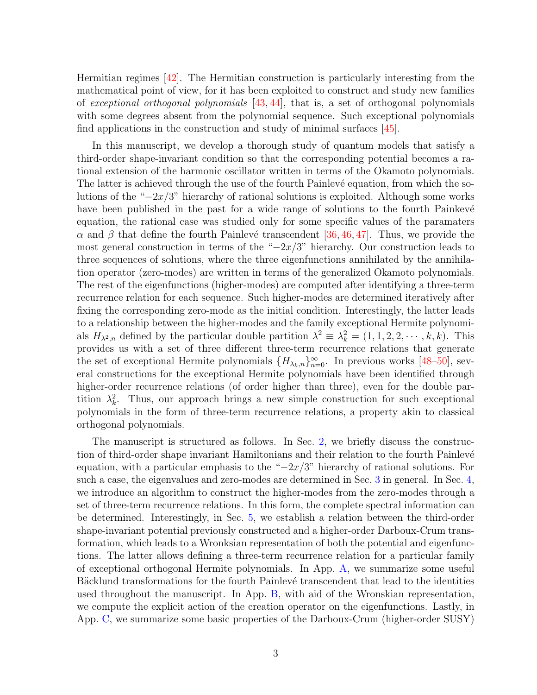Hermitian regimes [\[42\]](#page-30-6). The Hermitian construction is particularly interesting from the mathematical point of view, for it has been exploited to construct and study new families of exceptional orthogonal polynomials  $[43, 44]$  $[43, 44]$  $[43, 44]$ , that is, a set of orthogonal polynomials with some degrees absent from the polynomial sequence. Such exceptional polynomials find applications in the construction and study of minimal surfaces [\[45\]](#page-30-9).

In this manuscript, we develop a thorough study of quantum models that satisfy a third-order shape-invariant condition so that the corresponding potential becomes a rational extension of the harmonic oscillator written in terms of the Okamoto polynomials. The latter is achieved through the use of the fourth Painlevé equation, from which the solutions of the " $-2x/3$ " hierarchy of rational solutions is exploited. Although some works have been published in the past for a wide range of solutions to the fourth Painkevé equation, the rational case was studied only for some specific values of the paramaters  $\alpha$  and  $\beta$  that define the fourth Painlevé transcendent [\[36,](#page-30-0) [46,](#page-30-10) [47\]](#page-31-0). Thus, we provide the most general construction in terms of the " $-2x/3$ " hierarchy. Our construction leads to three sequences of solutions, where the three eigenfunctions annihilated by the annihilation operator (zero-modes) are written in terms of the generalized Okamoto polynomials. The rest of the eigenfunctions (higher-modes) are computed after identifying a three-term recurrence relation for each sequence. Such higher-modes are determined iteratively after fixing the corresponding zero-mode as the initial condition. Interestingly, the latter leads to a relationship between the higher-modes and the family exceptional Hermite polynomials  $H_{\lambda^2,n}$  defined by the particular double partition  $\lambda^2 \equiv \lambda_k^2 = (1, 1, 2, 2, \dots, k, k)$ . This provides us with a set of three different three-term recurrence relations that generate the set of exceptional Hermite polynomials  $\{H_{\lambda_k,n}\}_{n=0}^{\infty}$ . In previous works [\[48](#page-31-1)[–50\]](#page-31-2), several constructions for the exceptional Hermite polynomials have been identified through higher-order recurrence relations (of order higher than three), even for the double partition  $\lambda_k^2$ . Thus, our approach brings a new simple construction for such exceptional polynomials in the form of three-term recurrence relations, a property akin to classical orthogonal polynomials.

The manuscript is structured as follows. In Sec. [2,](#page-3-0) we briefly discuss the construction of third-order shape invariant Hamiltonians and their relation to the fourth Painlevé equation, with a particular emphasis to the " $-2x/3$ " hierarchy of rational solutions. For such a case, the eigenvalues and zero-modes are determined in Sec. [3](#page-7-0) in general. In Sec. [4,](#page-12-0) we introduce an algorithm to construct the higher-modes from the zero-modes through a set of three-term recurrence relations. In this form, the complete spectral information can be determined. Interestingly, in Sec. [5,](#page-17-0) we establish a relation between the third-order shape-invariant potential previously constructed and a higher-order Darboux-Crum transformation, which leads to a Wronksian representation of both the potential and eigenfunctions. The latter allows defining a three-term recurrence relation for a particular family of exceptional orthogonal Hermite polynomials. In App. [A,](#page-24-0) we summarize some useful Bäcklund transformations for the fourth Painlevé transcendent that lead to the identities used throughout the manuscript. In App. [B,](#page-25-0) with aid of the Wronskian representation, we compute the explicit action of the creation operator on the eigenfunctions. Lastly, in App. [C,](#page-27-0) we summarize some basic properties of the Darboux-Crum (higher-order SUSY)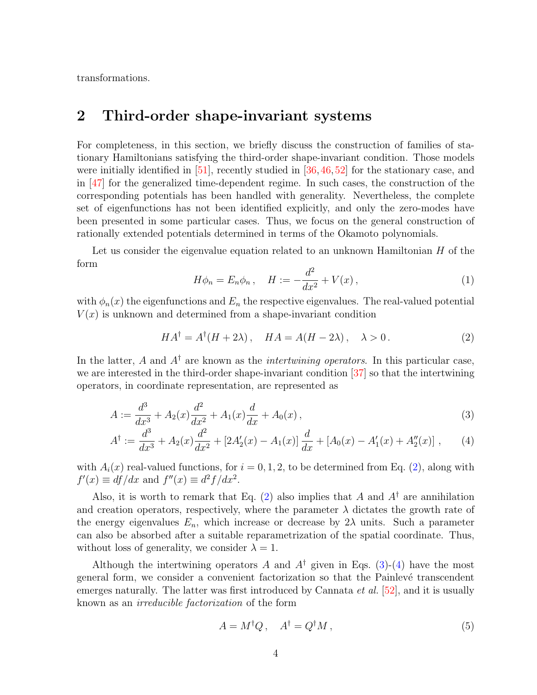transformations.

### <span id="page-3-0"></span>2 Third-order shape-invariant systems

For completeness, in this section, we briefly discuss the construction of families of stationary Hamiltonians satisfying the third-order shape-invariant condition. Those models were initially identified in  $[51]$ , recently studied in  $[36, 46, 52]$  $[36, 46, 52]$  $[36, 46, 52]$  $[36, 46, 52]$  $[36, 46, 52]$  for the stationary case, and in [\[47\]](#page-31-0) for the generalized time-dependent regime. In such cases, the construction of the corresponding potentials has been handled with generality. Nevertheless, the complete set of eigenfunctions has not been identified explicitly, and only the zero-modes have been presented in some particular cases. Thus, we focus on the general construction of rationally extended potentials determined in terms of the Okamoto polynomials.

Let us consider the eigenvalue equation related to an unknown Hamiltonian  $H$  of the form

<span id="page-3-4"></span><span id="page-3-2"></span>
$$
H\phi_n = E_n \phi_n \,, \quad H := -\frac{d^2}{dx^2} + V(x) \,, \tag{1}
$$

with  $\phi_n(x)$  the eigenfunctions and  $E_n$  the respective eigenvalues. The real-valued potential  $V(x)$  is unknown and determined from a shape-invariant condition

<span id="page-3-1"></span>
$$
HA^{\dagger} = A^{\dagger}(H + 2\lambda), \quad HA = A(H - 2\lambda), \quad \lambda > 0.
$$
 (2)

In the latter, A and  $A^{\dagger}$  are known as the *intertwining operators*. In this particular case, we are interested in the third-order shape-invariant condition [\[37\]](#page-30-1) so that the intertwining operators, in coordinate representation, are represented as

$$
A := \frac{d^3}{dx^3} + A_2(x)\frac{d^2}{dx^2} + A_1(x)\frac{d}{dx} + A_0(x),
$$
\n(3)

$$
A^{\dagger} := \frac{d^3}{dx^3} + A_2(x)\frac{d^2}{dx^2} + [2A'_2(x) - A_1(x)]\frac{d}{dx} + [A_0(x) - A'_1(x) + A''_2(x)],
$$
 (4)

with  $A_i(x)$  real-valued functions, for  $i = 0, 1, 2$ , to be determined from Eq. [\(2\)](#page-3-1), along with  $f'(x) \equiv df/dx$  and  $f''(x) \equiv d^2f/dx^2$ .

Also, it is worth to remark that Eq. [\(2\)](#page-3-1) also implies that A and  $A^{\dagger}$  are annihilation and creation operators, respectively, where the parameter  $\lambda$  dictates the growth rate of the energy eigenvalues  $E_n$ , which increase or decrease by  $2\lambda$  units. Such a parameter can also be absorbed after a suitable reparametrization of the spatial coordinate. Thus, without loss of generality, we consider  $\lambda = 1$ .

Although the intertwining operators A and  $A^{\dagger}$  given in Eqs. [\(3\)](#page-3-2)-[\(4\)](#page-3-3) have the most general form, we consider a convenient factorization so that the Painlevé transcendent emerges naturally. The latter was first introduced by Cannata  $et$  al. [\[52\]](#page-31-4), and it is usually known as an irreducible factorization of the form

<span id="page-3-5"></span><span id="page-3-3"></span>
$$
A = M^{\dagger} Q, \quad A^{\dagger} = Q^{\dagger} M, \tag{5}
$$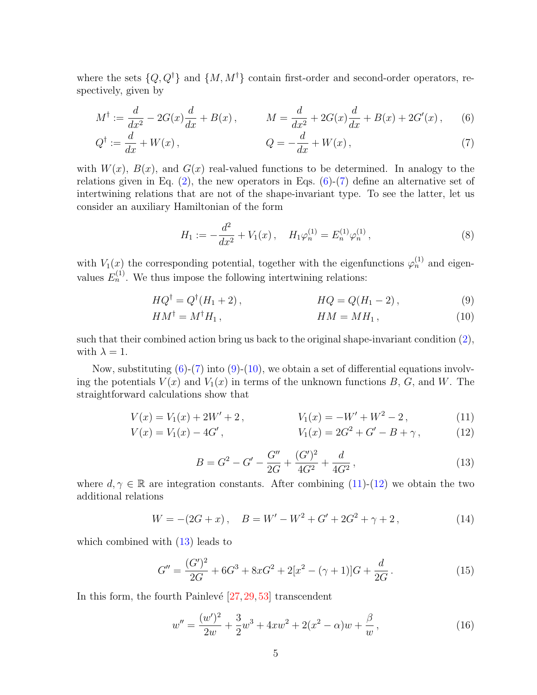where the sets  $\{Q, Q^{\dagger}\}\$ and  $\{M, M^{\dagger}\}\$ contain first-order and second-order operators, respectively, given by

$$
M^{\dagger} := \frac{d}{dx^2} - 2G(x)\frac{d}{dx} + B(x) , \qquad M = \frac{d}{dx^2} + 2G(x)\frac{d}{dx} + B(x) + 2G'(x) , \qquad (6)
$$

$$
Q^{\dagger} := \frac{d}{dx} + W(x), \qquad Q = -\frac{d}{dx} + W(x), \qquad (7)
$$

with  $W(x)$ ,  $B(x)$ , and  $G(x)$  real-valued functions to be determined. In analogy to the relations given in Eq. [\(2\)](#page-3-1), the new operators in Eqs. [\(6\)](#page-4-0)-[\(7\)](#page-4-1) define an alternative set of intertwining relations that are not of the shape-invariant type. To see the latter, let us consider an auxiliary Hamiltonian of the form

<span id="page-4-3"></span><span id="page-4-2"></span><span id="page-4-1"></span><span id="page-4-0"></span>
$$
H_1 := -\frac{d^2}{dx^2} + V_1(x) , \quad H_1 \varphi_n^{(1)} = E_n^{(1)} \varphi_n^{(1)} , \tag{8}
$$

with  $V_1(x)$  the corresponding potential, together with the eigenfunctions  $\varphi_n^{(1)}$  and eigenvalues  $E_n^{(1)}$ . We thus impose the following intertwining relations:

$$
HQ^{\dagger} = Q^{\dagger}(H_1 + 2), \qquad HQ = Q(H_1 - 2), \qquad (9)
$$

$$
HM^{\dagger} = M^{\dagger}H_1, \qquad HM = MH_1, \qquad (10)
$$

such that their combined action bring us back to the original shape-invariant condition [\(2\)](#page-3-1), with  $\lambda = 1$ .

Now, substituting  $(6)-(7)$  $(6)-(7)$  $(6)-(7)$  into  $(9)-(10)$  $(9)-(10)$  $(9)-(10)$ , we obtain a set of differential equations involving the potentials  $V(x)$  and  $V_1(x)$  in terms of the unknown functions B, G, and W. The straightforward calculations show that

$$
V(x) = V_1(x) + 2W' + 2, \qquad V_1(x) = -W' + W^2 - 2, \qquad (11)
$$

$$
V(x) = V_1(x) - 4G', \qquad V_1(x) = 2G^2 + G' - B + \gamma, \qquad (12)
$$

<span id="page-4-6"></span><span id="page-4-5"></span><span id="page-4-4"></span>
$$
B = G2 - G' - \frac{G''}{2G} + \frac{(G')^{2}}{4G^{2}} + \frac{d}{4G^{2}},
$$
\n(13)

where  $d, \gamma \in \mathbb{R}$  are integration constants. After combining [\(11\)](#page-4-4)-[\(12\)](#page-4-5) we obtain the two additional relations

<span id="page-4-8"></span>
$$
W = -(2G + x), \quad B = W' - W^2 + G' + 2G^2 + \gamma + 2, \tag{14}
$$

which combined with  $(13)$  leads to

<span id="page-4-7"></span>
$$
G'' = \frac{(G')^{2}}{2G} + 6G^{3} + 8xG^{2} + 2[x^{2} - (\gamma + 1)]G + \frac{d}{2G}.
$$
 (15)

In this form, the fourth Painlevé  $[27, 29, 53]$  $[27, 29, 53]$  $[27, 29, 53]$  $[27, 29, 53]$  $[27, 29, 53]$  transcendent

<span id="page-4-9"></span>
$$
w'' = \frac{(w')^2}{2w} + \frac{3}{2}w^3 + 4xw^2 + 2(x^2 - \alpha)w + \frac{\beta}{w},\tag{16}
$$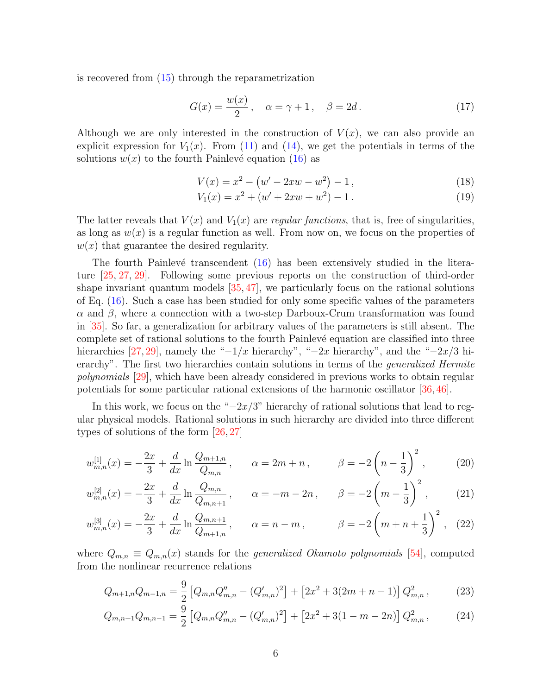is recovered from [\(15\)](#page-4-7) through the reparametrization

<span id="page-5-4"></span>
$$
G(x) = \frac{w(x)}{2}, \quad \alpha = \gamma + 1, \quad \beta = 2d. \tag{17}
$$

Although we are only interested in the construction of  $V(x)$ , we can also provide an explicit expression for  $V_1(x)$ . From [\(11\)](#page-4-4) and [\(14\)](#page-4-8), we get the potentials in terms of the solutions  $w(x)$  to the fourth Painlevé equation [\(16\)](#page-4-9) as

<span id="page-5-3"></span>
$$
V(x) = x2 - (w' - 2xw - w2) - 1,
$$
\n(18)

<span id="page-5-1"></span>
$$
V_1(x) = x^2 + (w' + 2xw + w^2) - 1.
$$
 (19)

The latter reveals that  $V(x)$  and  $V_1(x)$  are regular functions, that is, free of singularities, as long as  $w(x)$  is a regular function as well. From now on, we focus on the properties of  $w(x)$  that guarantee the desired regularity.

The fourth Painlevé transcendent  $(16)$  has been extensively studied in the literature [\[25,](#page-29-5) [27,](#page-29-7) [29\]](#page-29-9). Following some previous reports on the construction of third-order shape invariant quantum models [\[35,](#page-30-11) [47\]](#page-31-0), we particularly focus on the rational solutions of Eq. [\(16\)](#page-4-9). Such a case has been studied for only some specific values of the parameters  $\alpha$  and  $\beta$ , where a connection with a two-step Darboux-Crum transformation was found in [\[35\]](#page-30-11). So far, a generalization for arbitrary values of the parameters is still absent. The complete set of rational solutions to the fourth Painlevé equation are classified into three hierarchies [\[27,](#page-29-7) [29\]](#page-29-9), namely the " $-1/x$  hierarchy", " $-2x$  hierarchy", and the " $-2x/3$  hierarchy". The first two hierarchies contain solutions in terms of the *generalized Hermite* polynomials [\[29\]](#page-29-9), which have been already considered in previous works to obtain regular potentials for some particular rational extensions of the harmonic oscillator [\[36,](#page-30-0) [46\]](#page-30-10).

In this work, we focus on the " $-2x/3$ " hierarchy of rational solutions that lead to regular physical models. Rational solutions in such hierarchy are divided into three different types of solutions of the form  $|26, 27|$ 

$$
w_{m,n}^{[1]}(x) = -\frac{2x}{3} + \frac{d}{dx}\ln\frac{Q_{m+1,n}}{Q_{m,n}}, \qquad \alpha = 2m+n, \qquad \beta = -2\left(n - \frac{1}{3}\right)^2, \qquad (20)
$$

$$
w_{m,n}^{[2]}(x) = -\frac{2x}{3} + \frac{d}{dx} \ln \frac{Q_{m,n}}{Q_{m,n+1}}, \qquad \alpha = -m - 2n, \qquad \beta = -2\left(m - \frac{1}{3}\right)^2, \tag{21}
$$

$$
w_{m,n}^{[3]}(x) = -\frac{2x}{3} + \frac{d}{dx}\ln\frac{Q_{m,n+1}}{Q_{m+1,n}}, \qquad \alpha = n-m, \qquad \beta = -2\left(m+n+\frac{1}{3}\right)^2, \tag{22}
$$

where  $Q_{m,n} \equiv Q_{m,n}(x)$  stands for the *generalized Okamoto polynomials* [\[54\]](#page-31-6), computed from the nonlinear recurrence relations

<span id="page-5-2"></span><span id="page-5-0"></span>
$$
Q_{m+1,n}Q_{m-1,n} = \frac{9}{2} \left[ Q_{m,n} Q_{m,n}'' - (Q_{m,n}')^2 \right] + \left[ 2x^2 + 3(2m+n-1) \right] Q_{m,n}^2, \tag{23}
$$

<span id="page-5-5"></span>
$$
Q_{m,n+1}Q_{m,n-1} = \frac{9}{2} \left[ Q_{m,n} Q_{m,n}'' - (Q_{m,n}')^2 \right] + \left[ 2x^2 + 3(1 - m - 2n) \right] Q_{m,n}^2, \tag{24}
$$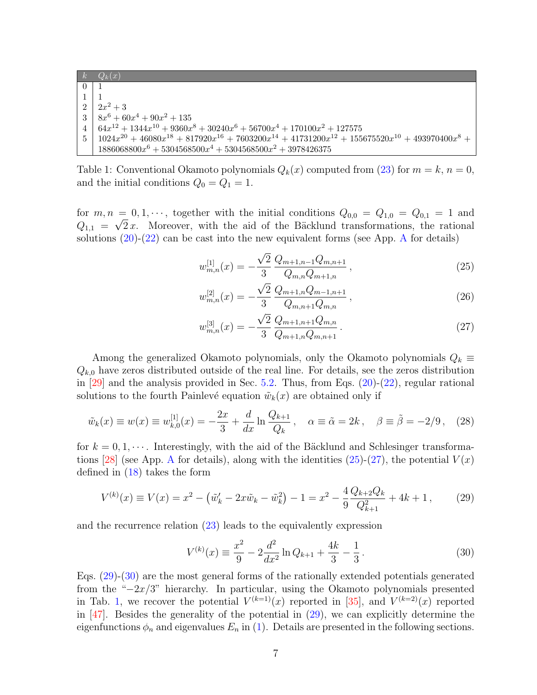<span id="page-6-4"></span>

|            | $Q_k(x)$                                                                                                            |
|------------|---------------------------------------------------------------------------------------------------------------------|
| $0 \mid 1$ |                                                                                                                     |
|            |                                                                                                                     |
|            | $2\left 2x^2+3\right $                                                                                              |
|            | $3 \mid 8x^6 + 60x^4 + 90x^2 + 135$                                                                                 |
|            | $4\left[64x^{12}+1344x^{10}+9360x^8+30240x^6+56700x^4+170100x^2+127575\right]$                                      |
|            | $5\mid 1024x^{20} + 46080x^{18} + 817920x^{16} + 7603200x^{14} + 41731200x^{12} + 155675520x^{10} + 493970400x^8 +$ |
|            | $1886068800x^{6} + 5304568500x^{4} + 5304568500x^{2} + 3978426375$                                                  |

Table 1: Conventional Okamoto polynomials  $Q_k(x)$  computed from [\(23\)](#page-5-0) for  $m = k$ ,  $n = 0$ , and the initial conditions  $Q_0 = Q_1 = 1$ .

for  $m, n = 0, 1, \dots$ , together with the initial conditions  $Q_{0,0} = Q_{1,0} = Q_{0,1} = 1$  and  $Q_{1,1} = \sqrt{2x}$ . Moreover, with the aid of the Bäcklund transformations, the rational solutions  $(20)-(22)$  $(20)-(22)$  $(20)-(22)$  can be cast into the new equivalent forms (see [A](#page-24-0)pp. A for details)

<span id="page-6-0"></span>
$$
w_{m,n}^{[1]}(x) = -\frac{\sqrt{2}}{3} \frac{Q_{m+1,n-1}Q_{m,n+1}}{Q_{m,n}Q_{m+1,n}},
$$
\n(25)

$$
w_{m,n}^{[2]}(x) = -\frac{\sqrt{2}}{3} \frac{Q_{m+1,n} Q_{m-1,n+1}}{Q_{m,n+1} Q_{m,n}},
$$
\n(26)

<span id="page-6-1"></span>
$$
w_{m,n}^{[3]}(x) = -\frac{\sqrt{2}}{3} \frac{Q_{m+1,n+1}Q_{m,n}}{Q_{m+1,n}Q_{m,n+1}}.
$$
\n(27)

Among the generalized Okamoto polynomials, only the Okamoto polynomials  $Q_k \equiv$  $Q_{k,0}$  have zeros distributed outside of the real line. For details, see the zeros distribution in [\[29\]](#page-29-9) and the analysis provided in Sec. [5.2.](#page-21-0) Thus, from Eqs. [\(20\)](#page-5-1)-[\(22\)](#page-5-2), regular rational solutions to the fourth Painlevé equation  $\tilde{w}_k(x)$  are obtained only if

<span id="page-6-5"></span>
$$
\tilde{w}_k(x) \equiv w(x) \equiv w_{k,0}^{[1]}(x) = -\frac{2x}{3} + \frac{d}{dx} \ln \frac{Q_{k+1}}{Q_k}, \quad \alpha \equiv \tilde{\alpha} = 2k, \quad \beta \equiv \tilde{\beta} = -2/9, \quad (28)
$$

for  $k = 0, 1, \cdots$ . Interestingly, with the aid of the Bäcklund and Schlesinger transforma-tions [\[28\]](#page-29-8) (see [A](#page-24-0)pp. A for details), along with the identities [\(25\)](#page-6-0)-[\(27\)](#page-6-1), the potential  $V(x)$ defined in [\(18\)](#page-5-3) takes the form

<span id="page-6-2"></span>
$$
V^{(k)}(x) \equiv V(x) = x^2 - \left(\tilde{w}_k' - 2x\tilde{w}_k - \tilde{w}_k^2\right) - 1 = x^2 - \frac{4}{9} \frac{Q_{k+2}Q_k}{Q_{k+1}^2} + 4k + 1,\tag{29}
$$

and the recurrence relation  $(23)$  leads to the equivalently expression

<span id="page-6-3"></span>
$$
V^{(k)}(x) \equiv \frac{x^2}{9} - 2\frac{d^2}{dx^2} \ln Q_{k+1} + \frac{4k}{3} - \frac{1}{3}.
$$
 (30)

Eqs. [\(29\)](#page-6-2)-[\(30\)](#page-6-3) are the most general forms of the rationally extended potentials generated from the " $-2x/3$ " hierarchy. In particular, using the Okamoto polynomials presented in Tab. [1,](#page-6-4) we recover the potential  $V^{(k=1)}(x)$  reported in [\[35\]](#page-30-11), and  $V^{(k=2)}(x)$  reported in [\[47\]](#page-31-0). Besides the generality of the potential in [\(29\)](#page-6-2), we can explicitly determine the eigenfunctions  $\phi_n$  and eigenvalues  $E_n$  in [\(1\)](#page-3-4). Details are presented in the following sections.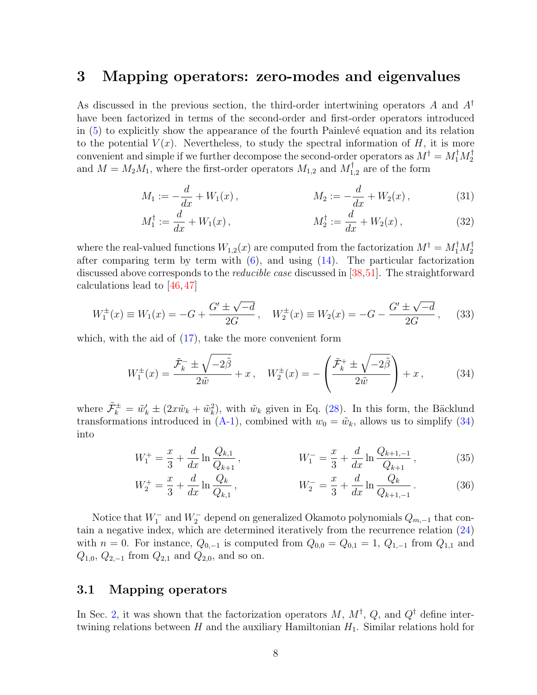## <span id="page-7-0"></span>3 Mapping operators: zero-modes and eigenvalues

As discussed in the previous section, the third-order intertwining operators A and  $A^{\dagger}$ have been factorized in terms of the second-order and first-order operators introduced in  $(5)$  to explicitly show the appearance of the fourth Painlevé equation and its relation to the potential  $V(x)$ . Nevertheless, to study the spectral information of H, it is more convenient and simple if we further decompose the second-order operators as  $M^{\dagger} = M_1^{\dagger} M_2^{\dagger}$ 2 and  $M = M_2M_1$ , where the first-order operators  $M_{1,2}$  and  $M_1^{\dagger}$  $_{1,2}^{1}$  are of the form

$$
M_1 := -\frac{d}{dx} + W_1(x) , \qquad \qquad M_2 := -\frac{d}{dx} + W_2(x) , \qquad (31)
$$

<span id="page-7-3"></span><span id="page-7-2"></span>
$$
M_1^{\dagger} := \frac{d}{dx} + W_1(x), \qquad M_2^{\dagger} := \frac{d}{dx} + W_2(x), \qquad (32)
$$

where the real-valued functions  $W_{1,2}(x)$  are computed from the factorization  $M^{\dagger} = M_1^{\dagger} M_2^{\dagger}$ 2 after comparing term by term with  $(6)$ , and using  $(14)$ . The particular factorization discussed above corresponds to the *reducible case* discussed in [\[38,](#page-30-2)[51\]](#page-31-3). The straightforward calculations lead to [\[46,](#page-30-10) [47\]](#page-31-0)

$$
W_1^{\pm}(x) \equiv W_1(x) = -G + \frac{G' \pm \sqrt{-d}}{2G}, \quad W_2^{\pm}(x) \equiv W_2(x) = -G - \frac{G' \pm \sqrt{-d}}{2G}, \quad (33)
$$

which, with the aid of  $(17)$ , take the more convenient form

<span id="page-7-1"></span>
$$
W_1^{\pm}(x) = \frac{\tilde{\mathcal{F}}_k^{-} \pm \sqrt{-2\tilde{\beta}}}{2\tilde{w}} + x, \quad W_2^{\pm}(x) = -\left(\frac{\tilde{\mathcal{F}}_k^{+} \pm \sqrt{-2\tilde{\beta}}}{2\tilde{w}}\right) + x,\tag{34}
$$

where  $\tilde{\mathcal{F}}_k^{\pm} = \tilde{w}_k' \pm (2x\tilde{w}_k + \tilde{w}_k^2)$ , with  $\tilde{w}_k$  given in Eq. [\(28\)](#page-6-5). In this form, the Bäcklund transformations introduced in [\(A-1\)](#page-24-1), combined with  $w_0 = \tilde{w}_k$ , allows us to simplify [\(34\)](#page-7-1) into

$$
W_1^+ = \frac{x}{3} + \frac{d}{dx} \ln \frac{Q_{k,1}}{Q_{k+1}}, \qquad W_1^- = \frac{x}{3} + \frac{d}{dx} \ln \frac{Q_{k+1,-1}}{Q_{k+1}}, \qquad (35)
$$

<span id="page-7-4"></span>
$$
W_2^+ = \frac{x}{3} + \frac{d}{dx} \ln \frac{Q_k}{Q_{k,1}}, \qquad W_2^- = \frac{x}{3} + \frac{d}{dx} \ln \frac{Q_k}{Q_{k+1,-1}}.
$$
 (36)

Notice that  $W_1^-$  and  $W_2^-$  depend on generalized Okamoto polynomials  $Q_{m,-1}$  that contain a negative index, which are determined iteratively from the recurrence relation [\(24\)](#page-5-5) with  $n = 0$ . For instance,  $Q_{0,-1}$  is computed from  $Q_{0,0} = Q_{0,1} = 1$ ,  $Q_{1,-1}$  from  $Q_{1,1}$  and  $Q_{1,0}, Q_{2,-1}$  from  $Q_{2,1}$  and  $Q_{2,0}$ , and so on.

### 3.1 Mapping operators

In Sec. [2,](#page-3-0) it was shown that the factorization operators M,  $M^{\dagger}$ , Q, and Q<sup>†</sup> define intertwining relations between H and the auxiliary Hamiltonian  $H_1$ . Similar relations hold for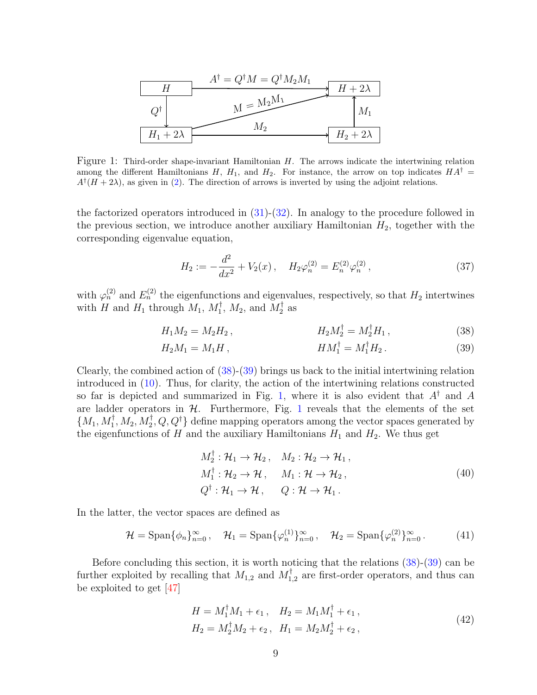<span id="page-8-2"></span>

Figure 1: Third-order shape-invariant Hamiltonian  $H$ . The arrows indicate the intertwining relation among the different Hamiltonians H,  $H_1$ , and  $H_2$ . For instance, the arrow on top indicates  $HA^{\dagger} =$  $A^{\dagger}(H+2\lambda)$ , as given in [\(2\)](#page-3-1). The direction of arrows is inverted by using the adjoint relations.

the factorized operators introduced in [\(31\)](#page-7-2)-[\(32\)](#page-7-3). In analogy to the procedure followed in the previous section, we introduce another auxiliary Hamiltonian  $H_2$ , together with the corresponding eigenvalue equation,

<span id="page-8-0"></span>
$$
H_2 := -\frac{d^2}{dx^2} + V_2(x) , \quad H_2 \varphi_n^{(2)} = E_n^{(2)} \varphi_n^{(2)} , \tag{37}
$$

with  $\varphi_n^{(2)}$  and  $E_n^{(2)}$  the eigenfunctions and eigenvalues, respectively, so that  $H_2$  intertwines with H and  $H_1$  through  $M_1$ ,  $M_1^{\dagger}$  $_1^{\dagger}$ ,  $M_2$ , and  $M_2^{\dagger}$  $\frac{1}{2}$  as

$$
H_1 M_2 = M_2 H_2, \t H_2 M_2^{\dagger} = M_2^{\dagger} H_1, \t (38)
$$

$$
H_2M_1 = M_1H, \t HM_1^{\dagger} = M_1^{\dagger}H_2. \t(39)
$$

Clearly, the combined action of [\(38\)](#page-8-0)-[\(39\)](#page-8-1) brings us back to the initial intertwining relation introduced in [\(10\)](#page-4-3). Thus, for clarity, the action of the intertwining relations constructed so far is depicted and summarized in Fig. [1,](#page-8-2) where it is also evident that  $A^{\dagger}$  and A are ladder operators in  $H$ . Furthermore, Fig. [1](#page-8-2) reveals that the elements of the set  $\{M_1, M_1^{\dagger}, M_2, M_2^{\dagger}, Q, Q^{\dagger}\}\$ define mapping operators among the vector spaces generated by the eigenfunctions of H and the auxiliary Hamiltonians  $H_1$  and  $H_2$ . We thus get

<span id="page-8-4"></span><span id="page-8-1"></span>
$$
M_2^{\dagger} : \mathcal{H}_1 \to \mathcal{H}_2, \quad M_2 : \mathcal{H}_2 \to \mathcal{H}_1, M_1^{\dagger} : \mathcal{H}_2 \to \mathcal{H}, \quad M_1 : \mathcal{H} \to \mathcal{H}_2, Q^{\dagger} : \mathcal{H}_1 \to \mathcal{H}, \quad Q : \mathcal{H} \to \mathcal{H}_1.
$$
 (40)

In the latter, the vector spaces are defined as

$$
\mathcal{H} = \text{Span}\{\phi_n\}_{n=0}^{\infty}, \quad \mathcal{H}_1 = \text{Span}\{\varphi_n^{(1)}\}_{n=0}^{\infty}, \quad \mathcal{H}_2 = \text{Span}\{\varphi_n^{(2)}\}_{n=0}^{\infty}.
$$
 (41)

Before concluding this section, it is worth noticing that the relations [\(38\)](#page-8-0)-[\(39\)](#page-8-1) can be further exploited by recalling that  $M_{1,2}$  and  $M_1^{\dagger}$  $_{1,2}^{T}$  are first-order operators, and thus can be exploited to get [\[47\]](#page-31-0)

<span id="page-8-3"></span>
$$
H = M_1^{\dagger} M_1 + \epsilon_1, \quad H_2 = M_1 M_1^{\dagger} + \epsilon_1, H_2 = M_2^{\dagger} M_2 + \epsilon_2, \quad H_1 = M_2 M_2^{\dagger} + \epsilon_2,
$$
 (42)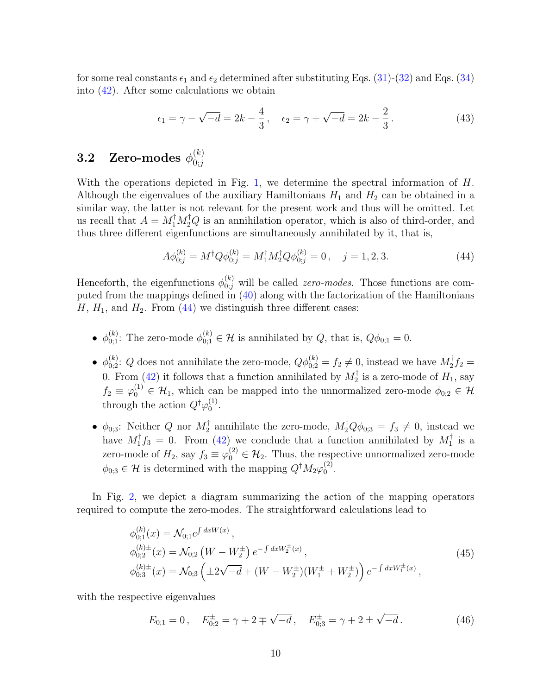for some real constants  $\epsilon_1$  and  $\epsilon_2$  determined after substituting Eqs. [\(31\)](#page-7-2)-[\(32\)](#page-7-3) and Eqs. [\(34\)](#page-7-1) into [\(42\)](#page-8-3). After some calculations we obtain

<span id="page-9-2"></span>
$$
\epsilon_1 = \gamma - \sqrt{-d} = 2k - \frac{4}{3}, \quad \epsilon_2 = \gamma + \sqrt{-d} = 2k - \frac{2}{3}.
$$
\n(43)

#### <span id="page-9-1"></span>3.2 Zero-modes  $\phi_{0:i}^{(k)}$  $0;j$

With the operations depicted in Fig. [1,](#page-8-2) we determine the spectral information of H. Although the eigenvalues of the auxiliary Hamiltonians  $H_1$  and  $H_2$  can be obtained in a similar way, the latter is not relevant for the present work and thus will be omitted. Let us recall that  $A = M_1^{\dagger} M_2^{\dagger} Q$  is an annihilation operator, which is also of third-order, and thus three different eigenfunctions are simultaneously annihilated by it, that is,

<span id="page-9-0"></span>
$$
A\phi_{0;j}^{(k)} = M^{\dagger} Q \phi_{0;j}^{(k)} = M_1^{\dagger} M_2^{\dagger} Q \phi_{0;j}^{(k)} = 0, \quad j = 1, 2, 3. \tag{44}
$$

Henceforth, the eigenfunctions  $\phi_{0;j}^{(k)}$  will be called *zero-modes*. Those functions are computed from the mappings defined in [\(40\)](#page-8-4) along with the factorization of the Hamiltonians  $H, H<sub>1</sub>,$  and  $H<sub>2</sub>$ . From [\(44\)](#page-9-0) we distinguish three different cases:

- $\phi_{0;1}^{(k)}$ : The zero-mode  $\phi_{0;1}^{(k)} \in \mathcal{H}$  is annihilated by Q, that is,  $Q\phi_{0;1} = 0$ .
- $\phi_{0,2}^{(k)}$ : Q does not annihilate the zero-mode,  $Q\phi_{0,2}^{(k)} = f_2 \neq 0$ , instead we have  $M_2^{\dagger}$  $\frac{1}{2}f_2 =$ 0. From [\(42\)](#page-8-3) it follows that a function annihilated by  $M_2^{\dagger}$  $i_2^{\dagger}$  is a zero-mode of  $H_1$ , say  $f_2 \equiv \varphi_0^{(1)} \in \mathcal{H}_1$ , which can be mapped into the unnormalized zero-mode  $\phi_{0,2} \in \mathcal{H}$ through the action  $Q^{\dagger} \varphi_0^{(1)}$  $^{(1)}_{0}$ .
- $\phi_{0;3}$ : Neither Q nor  $M_2^{\dagger}$ <sup>†</sup><sub>2</sub> annihilate the zero-mode,  $M_2^{\dagger} Q \phi_{0;3} = f_3 \neq 0$ , instead we have  $M_1^{\dagger}$  $f_1^{\dagger} f_3 = 0$ . From [\(42\)](#page-8-3) we conclude that a function annihilated by  $M_1^{\dagger}$  $\frac{1}{1}$  is a zero-mode of  $H_2$ , say  $f_3 \equiv \varphi_0^{(2)} \in \mathcal{H}_2$ . Thus, the respective unnormalized zero-mode  $\phi_{0,3} \in \mathcal{H}$  is determined with the mapping  $Q^{\dagger} M_2 \varphi_0^{(2)}$  $\binom{2}{0}$ .

In Fig. [2,](#page-10-0) we depict a diagram summarizing the action of the mapping operators required to compute the zero-modes. The straightforward calculations lead to

$$
\begin{aligned}\n\phi_{0;1}^{(k)}(x) &= \mathcal{N}_{0;1} e^{\int dx W(x)}, \\
\phi_{0;2}^{(k)\pm}(x) &= \mathcal{N}_{0;2} \left( W - W_2^{\pm} \right) e^{-\int dx W_2^{\pm}(x)}, \\
\phi_{0;3}^{(k)\pm}(x) &= \mathcal{N}_{0;3} \left( \pm 2\sqrt{-d} + (W - W_2^{\pm})(W_1^{\pm} + W_2^{\pm}) \right) e^{-\int dx W_1^{\pm}(x)},\n\end{aligned} \tag{45}
$$

with the respective eigenvalues

$$
E_{0;1} = 0, \quad E_{0;2}^{\pm} = \gamma + 2 \mp \sqrt{-d}, \quad E_{0;3}^{\pm} = \gamma + 2 \pm \sqrt{-d}.
$$
 (46)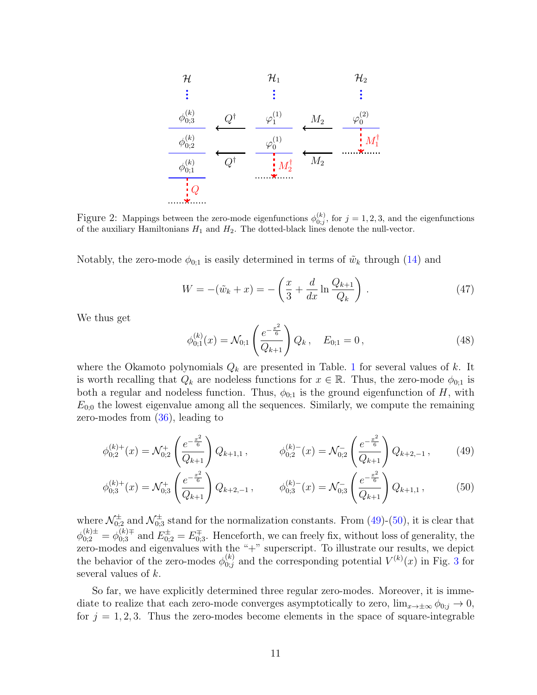<span id="page-10-0"></span>

| H                  | H <sub>1</sub> | H <sub>2</sub> |     |     |     |     |     |
|--------------------|----------------|----------------|-----|-----|-----|-----|-----|
| ...                | ...            | ...            | ... |     |     |     |     |
| $\phi_{0;3}^{(k)}$ | ...            | ...            | ... | ... |     |     |     |
| $\phi_{0;2}^{(k)}$ | ...            | ...            | ... | ... |     |     |     |
| $\phi_{0;1}^{(k)}$ | ...            | ...            | ... | ... |     |     |     |
| ...                | ...            | ...            | ... | ... |     |     |     |
| ...                | ...            | ...            | ... | ... |     |     |     |
| ...                | ...            | ...            | ... | ... |     |     |     |
| ...                | ...            | ...            | ... | ... |     |     |     |
| ...                | ...            | ...            | ... | ... |     |     |     |
| ...                | ...            | ...            | ... | ... |     |     |     |
| ...                | ...            | ...            | ... | ... | ... |     |     |
| ...                | ...            | ...            | ... | ... | ... |     |     |
| ...                | ...            | ...            | ... | ... | ... | ... |     |
| ...                | ...            | ...            | ... | ... | ... | ... |     |
| ...                | ...            | ...            | ... | ... | ... | ... |     |
| ...                | ...            | ...            | ... | ... | ... | ... | ... |
| ...                | ...            | ...            | ... | ... |     |     |     |

Figure 2: Mappings between the zero-mode eigenfunctions  $\phi_{0;j}^{(k)}$ , for  $j = 1, 2, 3$ , and the eigenfunctions of the auxiliary Hamiltonians  $H_1$  and  $H_2$ . The dotted-black lines denote the null-vector.

Notably, the zero-mode  $\phi_{0,1}$  is easily determined in terms of  $\tilde{w}_k$  through [\(14\)](#page-4-8) and

$$
W = -(\tilde{w}_k + x) = -\left(\frac{x}{3} + \frac{d}{dx}\ln\frac{Q_{k+1}}{Q_k}\right). \tag{47}
$$

We thus get

<span id="page-10-3"></span><span id="page-10-2"></span><span id="page-10-1"></span>
$$
\phi_{0;1}^{(k)}(x) = \mathcal{N}_{0;1}\left(\frac{e^{-\frac{x^2}{6}}}{Q_{k+1}}\right)Q_k, \quad E_{0;1} = 0,
$$
\n(48)

where the Okamoto polynomials  $Q_k$  are presented in Table. [1](#page-6-4) for several values of k. It is worth recalling that  $Q_k$  are nodeless functions for  $x \in \mathbb{R}$ . Thus, the zero-mode  $\phi_{0;1}$  is both a regular and nodeless function. Thus,  $\phi_{0,1}$  is the ground eigenfunction of H, with  $E_{0,0}$  the lowest eigenvalue among all the sequences. Similarly, we compute the remaining zero-modes from [\(36\)](#page-7-4), leading to

$$
\phi_{0;2}^{(k)+}(x) = \mathcal{N}_{0;2}^+\left(\frac{e^{-\frac{x^2}{6}}}{Q_{k+1}}\right)Q_{k+1,1}, \qquad \phi_{0;2}^{(k)-}(x) = \mathcal{N}_{0;2}^-\left(\frac{e^{-\frac{x^2}{6}}}{Q_{k+1}}\right)Q_{k+2,-1}, \qquad (49)
$$

$$
\phi_{0;3}^{(k)+}(x) = \mathcal{N}_{0;3}^+\left(\frac{e^{-\frac{x^2}{6}}}{Q_{k+1}}\right)Q_{k+2,-1}, \qquad \phi_{0;3}^{(k)-}(x) = \mathcal{N}_{0;3}^-\left(\frac{e^{-\frac{x^2}{6}}}{Q_{k+1}}\right)Q_{k+1,1}, \qquad (50)
$$

where  $\mathcal{N}^{\pm}_{0;2}$  and  $\mathcal{N}^{\pm}_{0;3}$  stand for the normalization constants. From [\(49\)](#page-10-1)-[\(50\)](#page-10-2), it is clear that  $\phi_{0;2}^{(k)\pm} = \phi_{0;3}^{(k)\mp}$  and  $E_{0;2}^{\pm} = E_{0;3}^{\mp}$ . Henceforth, we can freely fix, without loss of generality, the zero-modes and eigenvalues with the "+" superscript. To illustrate our results, we depict the behavior of the zero-modes  $\phi_{0:i}^{(k)}$  $\binom{k}{0,j}$  and the corresponding potential  $V^{(k)}(x)$  in Fig. [3](#page-11-0) for several values of k.

So far, we have explicitly determined three regular zero-modes. Moreover, it is immediate to realize that each zero-mode converges asymptotically to zero,  $\lim_{x\to\pm\infty}\phi_{0;j}\to 0$ , for  $j = 1, 2, 3$ . Thus the zero-modes become elements in the space of square-integrable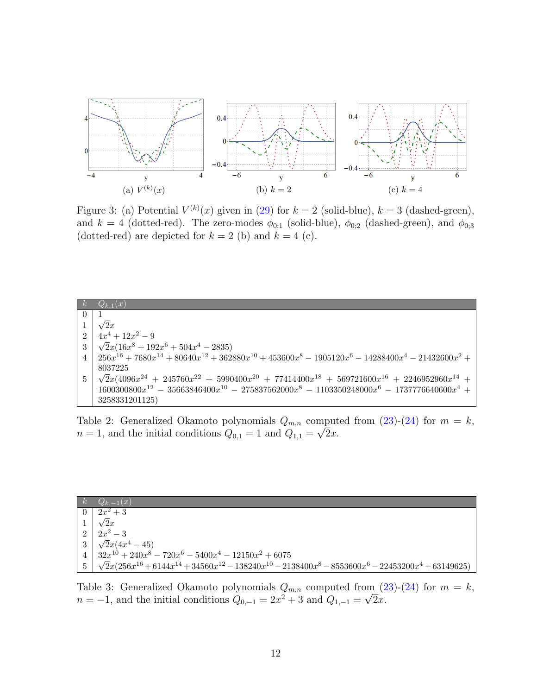<span id="page-11-0"></span>

Figure 3: (a) Potential  $V^{(k)}(x)$  given in [\(29\)](#page-6-2) for  $k = 2$  (solid-blue),  $k = 3$  (dashed-green), and  $k = 4$  (dotted-red). The zero-modes  $\phi_{0,1}$  (solid-blue),  $\phi_{0,2}$  (dashed-green), and  $\phi_{0,3}$ (dotted-red) are depicted for  $k = 2$  (b) and  $k = 4$  (c).

|          | $Q_{k,1}(x)$                                                                                                              |
|----------|---------------------------------------------------------------------------------------------------------------------------|
| $\Omega$ |                                                                                                                           |
|          | $\sqrt{2}x$                                                                                                               |
|          | $2 4x^4+12x^2-9$                                                                                                          |
|          | $3\sqrt{2}x(16x^8+192x^6+504x^4-2835)$                                                                                    |
|          | $4\left.\right 256x^{16}+7680x^{14}+80640x^{12}+362880x^{10}+453600x^8-1905120x^6-14288400x^4-21432600x^2+$               |
|          | 8037225                                                                                                                   |
|          | $5\frac{1}{2}\sqrt{2}x(4096x^{24} + 245760x^{22} + 5990400x^{20} + 77414400x^{18} + 569721600x^{16} + 2246952960x^{14} +$ |
|          | $1600300800x^{12} - 35663846400x^{10} - 275837562000x^8 - 1103350248000x^6 - 1737776640600x^4 +$                          |
|          | 3258331201125)                                                                                                            |

Table 2: Generalized Okamoto polynomials  $Q_{m,n}$  computed from [\(23\)](#page-5-0)-[\(24\)](#page-5-5) for  $m = k$ ,  $n = 1$ , and the initial conditions  $Q_{0,1} = 1$  and  $Q_{1,1} = \sqrt{2x}$ .

<span id="page-11-1"></span>

| $\mid k \mid Q_{k,-1}(x)$                                                                                                       |
|---------------------------------------------------------------------------------------------------------------------------------|
| $0 \mid 2x^2 + 3$                                                                                                               |
| $1 \mid \sqrt{2}x$                                                                                                              |
| $2\left 2x^2-3\right $                                                                                                          |
| $3\sqrt{2}x(4x^4-45)$                                                                                                           |
| $4 \mid 32x^{10} + 240x^8 - 720x^6 - 5400x^4 - 12150x^2 + 6075$                                                                 |
| $5\frac{1}{2}\sqrt{2}x(256x^{16} + 6144x^{14} + 34560x^{12} - 138240x^{10} - 2138400x^8 - 8553600x^6 - 22453200x^4 + 63149625)$ |

Table 3: Generalized Okamoto polynomials  $Q_{m,n}$  computed from  $(23)-(24)$  $(23)-(24)$  $(23)-(24)$  for  $m = k$ ,  $n = -1$ , and the initial conditions  $Q_{0,-1} = 2x^2 + 3$  and  $Q_{1,-1} =$ √ x.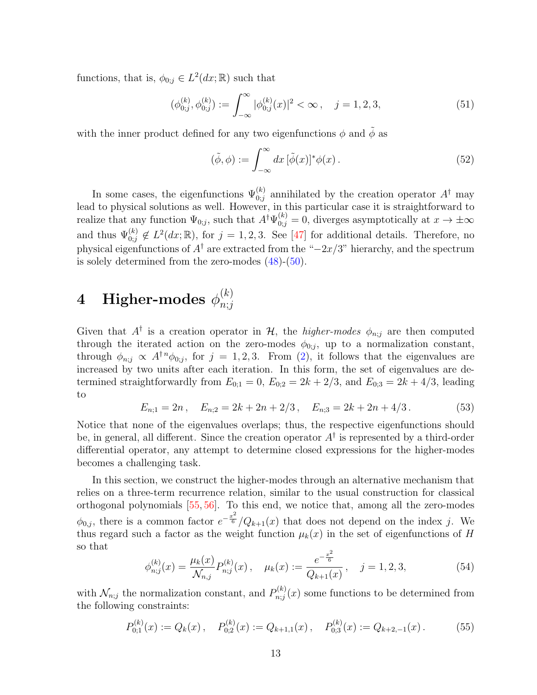functions, that is,  $\phi_{0;j} \in L^2(dx; \mathbb{R})$  such that

$$
(\phi_{0;j}^{(k)}, \phi_{0;j}^{(k)}) := \int_{-\infty}^{\infty} |\phi_{0;j}^{(k)}(x)|^2 < \infty, \quad j = 1, 2, 3,\tag{51}
$$

with the inner product defined for any two eigenfunctions  $\phi$  and  $\tilde{\phi}$  as

$$
(\tilde{\phi}, \phi) := \int_{-\infty}^{\infty} dx \, [\tilde{\phi}(x)]^* \phi(x) \,. \tag{52}
$$

In some cases, the eigenfunctions  $\Psi_{0;j}^{(k)}$  annihilated by the creation operator  $A^{\dagger}$  may lead to physical solutions as well. However, in this particular case it is straightforward to realize that any function  $\Psi_{0;j}$ , such that  $A^{\dagger} \Psi_{0;j}^{(k)} = 0$ , diverges asymptotically at  $x \to \pm \infty$ and thus  $\Psi_{0;j}^{(k)} \notin L^2(dx;\mathbb{R})$ , for  $j=1,2,3$ . See [\[47\]](#page-31-0) for additional details. Therefore, no physical eigenfunctions of  $A^{\dagger}$  are extracted from the "−2x/3" hierarchy, and the spectrum is solely determined from the zero-modes  $(48)$ - $(50)$ .

#### <span id="page-12-0"></span> $4$  Higher-modes  $\phi_{n:i}^{(k)}$  $n;j$

Given that  $A^{\dagger}$  is a creation operator in H, the *higher-modes*  $\phi_{n;j}$  are then computed through the iterated action on the zero-modes  $\phi_{0,j}$ , up to a normalization constant, through  $\phi_{n;j} \propto A^{\dagger n} \phi_{0;j}$ , for  $j = 1, 2, 3$ . From [\(2\)](#page-3-1), it follows that the eigenvalues are increased by two units after each iteration. In this form, the set of eigenvalues are determined straightforwardly from  $E_{0,1} = 0$ ,  $E_{0,2} = 2k + 2/3$ , and  $E_{0,3} = 2k + 4/3$ , leading to

$$
E_{n;1} = 2n, \quad E_{n;2} = 2k + 2n + 2/3, \quad E_{n;3} = 2k + 2n + 4/3. \tag{53}
$$

Notice that none of the eigenvalues overlaps; thus, the respective eigenfunctions should be, in general, all different. Since the creation operator  $A^{\dagger}$  is represented by a third-order differential operator, any attempt to determine closed expressions for the higher-modes becomes a challenging task.

In this section, we construct the higher-modes through an alternative mechanism that relies on a three-term recurrence relation, similar to the usual construction for classical orthogonal polynomials [\[55,](#page-31-7) [56\]](#page-31-8). To this end, we notice that, among all the zero-modes  $\phi_{0,j}$ , there is a common factor  $e^{-\frac{x^2}{6}}/Q_{k+1}(x)$  that does not depend on the index j. We thus regard such a factor as the weight function  $\mu_k(x)$  in the set of eigenfunctions of H so that 2

<span id="page-12-1"></span>
$$
\phi_{n;j}^{(k)}(x) = \frac{\mu_k(x)}{\mathcal{N}_{n,j}} P_{n;j}^{(k)}(x), \quad \mu_k(x) := \frac{e^{-\frac{x^2}{6}}}{Q_{k+1}(x)}, \quad j = 1, 2, 3,
$$
\n(54)

with  $\mathcal{N}_{n;j}$  the normalization constant, and  $P_{n;j}^{(k)}$  $n_{n,j}^{(k)}(x)$  some functions to be determined from the following constraints:

<span id="page-12-2"></span>
$$
P_{0;1}^{(k)}(x) := Q_k(x), \quad P_{0;2}^{(k)}(x) := Q_{k+1,1}(x), \quad P_{0;3}^{(k)}(x) := Q_{k+2,-1}(x). \tag{55}
$$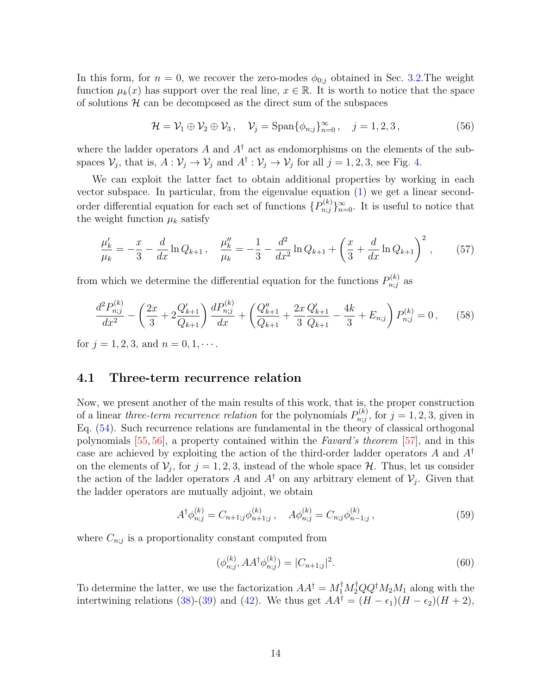In this form, for  $n = 0$ , we recover the zero-modes  $\phi_{0,j}$  obtained in Sec. [3.2.](#page-9-1) The weight function  $\mu_k(x)$  has support over the real line,  $x \in \mathbb{R}$ . It is worth to notice that the space of solutions  $\mathcal H$  can be decomposed as the direct sum of the subspaces

<span id="page-13-0"></span>
$$
\mathcal{H} = \mathcal{V}_1 \oplus \mathcal{V}_2 \oplus \mathcal{V}_3, \quad \mathcal{V}_j = \text{Span}\{\phi_{n;j}\}_{n=0}^{\infty}, \quad j = 1, 2, 3,
$$
\n
$$
(56)
$$

where the ladder operators A and  $A^{\dagger}$  act as endomorphisms on the elements of the subspaces  $\mathcal{V}_j$ , that is,  $A: \mathcal{V}_j \to \mathcal{V}_j$  and  $A^{\dagger}: \mathcal{V}_j \to \mathcal{V}_j$  for all  $j = 1, 2, 3$ , see Fig. [4.](#page-14-0)

We can exploit the latter fact to obtain additional properties by working in each vector subspace. In particular, from the eigenvalue equation [\(1\)](#page-3-4) we get a linear secondorder differential equation for each set of functions  $\{P_{n,i}^{(k)}\}$  $\{n_j^{(k)}\}_{n=0}^{\infty}$ . It is useful to notice that the weight function  $\mu_k$  satisfy

$$
\frac{\mu_k'}{\mu_k} = -\frac{x}{3} - \frac{d}{dx}\ln Q_{k+1}, \quad \frac{\mu_k''}{\mu_k} = -\frac{1}{3} - \frac{d^2}{dx^2}\ln Q_{k+1} + \left(\frac{x}{3} + \frac{d}{dx}\ln Q_{k+1}\right)^2, \quad (57)
$$

from which we determine the differential equation for the functions  $P_{n,i}^{(k)}$  $n_{i,j}^{(\kappa)}$  as

<span id="page-13-2"></span>
$$
\frac{d^2 P_{n;j}^{(k)}}{dx^2} - \left(\frac{2x}{3} + 2\frac{Q'_{k+1}}{Q_{k+1}}\right)\frac{d P_{n;j}^{(k)}}{dx} + \left(\frac{Q''_{k+1}}{Q_{k+1}} + \frac{2x}{3}\frac{Q'_{k+1}}{Q_{k+1}} - \frac{4k}{3} + E_{n;j}\right)P_{n;j}^{(k)} = 0\,,\tag{58}
$$

for  $j = 1, 2, 3$ , and  $n = 0, 1, \cdots$ .

### 4.1 Three-term recurrence relation

Now, we present another of the main results of this work, that is, the proper construction of a linear three-term recurrence relation for the polynomials  $P_{n,i}^{(k)}$  $p_{n;j}^{(\kappa)}$ , for  $j=1,2,3$ , given in Eq. [\(54\)](#page-12-1). Such recurrence relations are fundamental in the theory of classical orthogonal polynomials  $[55, 56]$  $[55, 56]$  $[55, 56]$ , a property contained within the Favard's theorem  $[57]$ , and in this case are achieved by exploiting the action of the third-order ladder operators A and  $A^{\dagger}$ on the elements of  $\mathcal{V}_j$ , for  $j = 1, 2, 3$ , instead of the whole space  $\mathcal{H}$ . Thus, let us consider the action of the ladder operators A and  $A^{\dagger}$  on any arbitrary element of  $\mathcal{V}_j$ . Given that the ladder operators are mutually adjoint, we obtain

<span id="page-13-1"></span>
$$
A^{\dagger} \phi_{n;j}^{(k)} = C_{n+1;j} \phi_{n+1;j}^{(k)}, \quad A\phi_{n;j}^{(k)} = C_{n;j} \phi_{n-1;j}^{(k)}, \tag{59}
$$

where  $C_{n;j}$  is a proportionality constant computed from

$$
(\phi_{n;j}^{(k)}, AA^{\dagger} \phi_{n;j}^{(k)}) = |C_{n+1;j}|^2. \tag{60}
$$

To determine the latter, we use the factorization  $AA^{\dagger} = M_1^{\dagger} M_2^{\dagger} Q Q^{\dagger} M_2 M_1$  along with the intertwining relations [\(38\)](#page-8-0)-[\(39\)](#page-8-1) and [\(42\)](#page-8-3). We thus get  $AA^{\dagger} = (H - \epsilon_1)(H - \epsilon_2)(H + 2)$ ,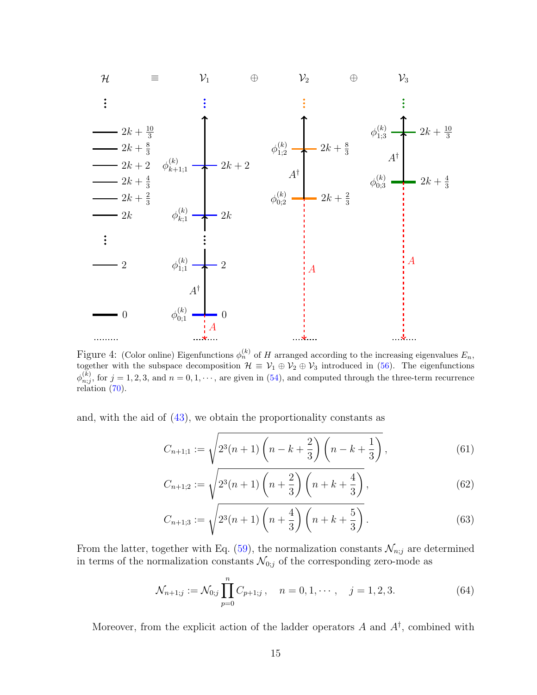<span id="page-14-0"></span>

Figure 4: (Color online) Eigenfunctions  $\phi_n^{(k)}$  of H arranged according to the increasing eigenvalues  $E_n$ , together with the subspace decomposition  $\mathcal{H} \equiv \mathcal{V}_1 \oplus \mathcal{V}_2 \oplus \mathcal{V}_3$  introduced in [\(56\)](#page-13-0). The eigenfunctions  $\phi_{n;j}^{(k)}$ , for  $j = 1, 2, 3$ , and  $n = 0, 1, \dots$ , are given in [\(54\)](#page-12-1), and computed through the three-term recurrence relation  $(70)$ .

and, with the aid of [\(43\)](#page-9-2), we obtain the proportionality constants as

$$
C_{n+1,1} := \sqrt{2^3(n+1)\left(n-k+\frac{2}{3}\right)\left(n-k+\frac{1}{3}\right)},\tag{61}
$$

$$
C_{n+1,2} := \sqrt{2^3(n+1)\left(n+\frac{2}{3}\right)\left(n+k+\frac{4}{3}\right)},\tag{62}
$$

$$
C_{n+1,3} := \sqrt{2^3(n+1)\left(n+\frac{4}{3}\right)\left(n+k+\frac{5}{3}\right)}.
$$
\n(63)

From the latter, together with Eq. [\(59\)](#page-13-1), the normalization constants  $\mathcal{N}_{n;j}$  are determined in terms of the normalization constants  $\mathcal{N}_{0;j}$  of the corresponding zero-mode as

<span id="page-14-1"></span>
$$
\mathcal{N}_{n+1;j} := \mathcal{N}_{0;j} \prod_{p=0}^{n} C_{p+1;j}, \quad n = 0, 1, \cdots, \quad j = 1, 2, 3. \tag{64}
$$

Moreover, from the explicit action of the ladder operators  $A$  and  $A^{\dagger}$ , combined with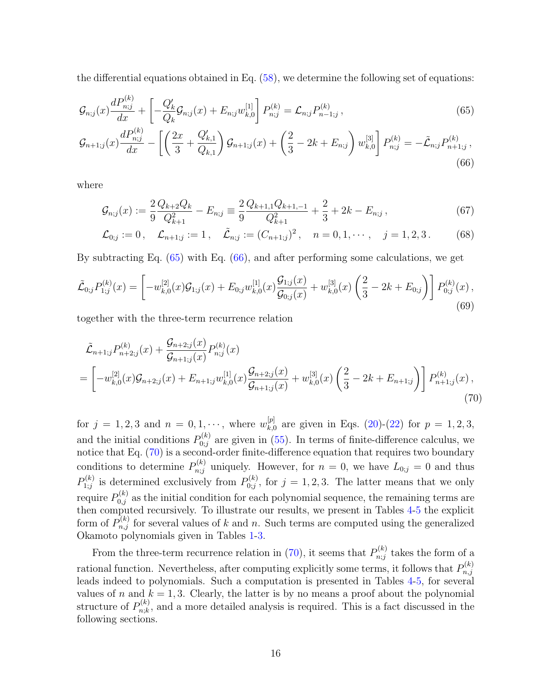the differential equations obtained in Eq. [\(58\)](#page-13-2), we determine the following set of equations:

$$
\mathcal{G}_{n;j}(x)\frac{dP_{n;j}^{(k)}}{dx} + \left[ -\frac{Q_k'}{Q_k}\mathcal{G}_{n;j}(x) + E_{n;j}w_{k,0}^{[1]}\right]P_{n;j}^{(k)} = \mathcal{L}_{n;j}P_{n-1;j}^{(k)},\tag{65}
$$

$$
\mathcal{G}_{n+1;j}(x)\frac{dP_{n;j}^{(k)}}{dx} - \left[ \left( \frac{2x}{3} + \frac{Q_{k,1}'}{Q_{k,1}} \right) \mathcal{G}_{n+1;j}(x) + \left( \frac{2}{3} - 2k + E_{n;j} \right) w_{k,0}^{[3]} \right] P_{n;j}^{(k)} = -\tilde{\mathcal{L}}_{n;j} P_{n+1;j}^{(k)},\tag{66}
$$

where

<span id="page-15-2"></span><span id="page-15-1"></span>
$$
\mathcal{G}_{n;j}(x) := \frac{2}{9} \frac{Q_{k+2} Q_k}{Q_{k+1}^2} - E_{n;j} \equiv \frac{2}{9} \frac{Q_{k+1,1} Q_{k+1,-1}}{Q_{k+1}^2} + \frac{2}{3} + 2k - E_{n;j},\tag{67}
$$

$$
\mathcal{L}_{0;j} := 0, \quad \mathcal{L}_{n+1;j} := 1, \quad \tilde{\mathcal{L}}_{n;j} := (C_{n+1;j})^2, \quad n = 0, 1, \cdots, \quad j = 1, 2, 3. \tag{68}
$$

By subtracting Eq. [\(65\)](#page-15-1) with Eq. [\(66\)](#page-15-2), and after performing some calculations, we get

$$
\tilde{\mathcal{L}}_{0;j} P_{1;j}^{(k)}(x) = \left[ -w_{k,0}^{[2]}(x)\mathcal{G}_{1;j}(x) + E_{0;j}w_{k,0}^{[1]}(x)\frac{\mathcal{G}_{1;j}(x)}{\mathcal{G}_{0;j}(x)} + w_{k,0}^{[3]}(x)\left(\frac{2}{3} - 2k + E_{0;j}\right) \right] P_{0;j}^{(k)}(x) ,\tag{69}
$$

together with the three-term recurrence relation

<span id="page-15-0"></span>
$$
\tilde{\mathcal{L}}_{n+1;j} P_{n+2;j}^{(k)}(x) + \frac{\mathcal{G}_{n+2;j}(x)}{\mathcal{G}_{n+1;j}(x)} P_{n;j}^{(k)}(x) \n= \left[ -w_{k,0}^{[2]}(x)\mathcal{G}_{n+2;j}(x) + E_{n+1;j}w_{k,0}^{[1]}(x)\frac{\mathcal{G}_{n+2;j}(x)}{\mathcal{G}_{n+1;j}(x)} + w_{k,0}^{[3]}(x)\left(\frac{2}{3} - 2k + E_{n+1;j}\right) \right] P_{n+1;j}^{(k)}(x) ,
$$
\n(70)

for  $j = 1, 2, 3$  and  $n = 0, 1, \dots$ , where  $w_{k}^{[p]}$  $_{k,0}^{[p]}$  are given in Eqs. [\(20\)](#page-5-1)-[\(22\)](#page-5-2) for  $p = 1, 2, 3$ , and the initial conditions  $P_{0:i}^{(k)}$  $\int_{0.5}^{0.6}$  are given in [\(55\)](#page-12-2). In terms of finite-difference calculus, we notice that Eq. [\(70\)](#page-15-0) is a second-order finite-difference equation that requires two boundary conditions to determine  $P_{n;j}^{(k)}$  uniquely. However, for  $n = 0$ , we have  $L_{0;j} = 0$  and thus  $P_{1:i}^{(k)}$  $p_{0;j}^{(k)}$  is determined exclusively from  $P_{0;j}^{(k)}$  $\mathfrak{d}_{0;j}^{(\kappa)}$ , for  $j=1,2,3$ . The latter means that we only require  $P_{0,j}^{(k)}$  as the initial condition for each polynomial sequence, the remaining terms are then computed recursively. To illustrate our results, we present in Tables [4](#page-16-0)[-5](#page-17-1) the explicit form of  $P_{n,j}^{(k)}$  for several values of k and n. Such terms are computed using the generalized Okamoto polynomials given in Tables [1-](#page-6-4)[3.](#page-11-1)

From the three-term recurrence relation in [\(70\)](#page-15-0), it seems that  $P_{n,i}^{(k)}$  $n_{i,j}^{(k)}$  takes the form of a rational function. Nevertheless, after computing explicitly some terms, it follows that  $P_{n,i}^{(k)}$  $n,j$ leads indeed to polynomials. Such a computation is presented in Tables [4-](#page-16-0)[5,](#page-17-1) for several values of n and  $k = 1, 3$ . Clearly, the latter is by no means a proof about the polynomial structure of  $P_{n:k}^{(k)}$  $n_{n,k}^{(k)}$ , and a more detailed analysis is required. This is a fact discussed in the following sections.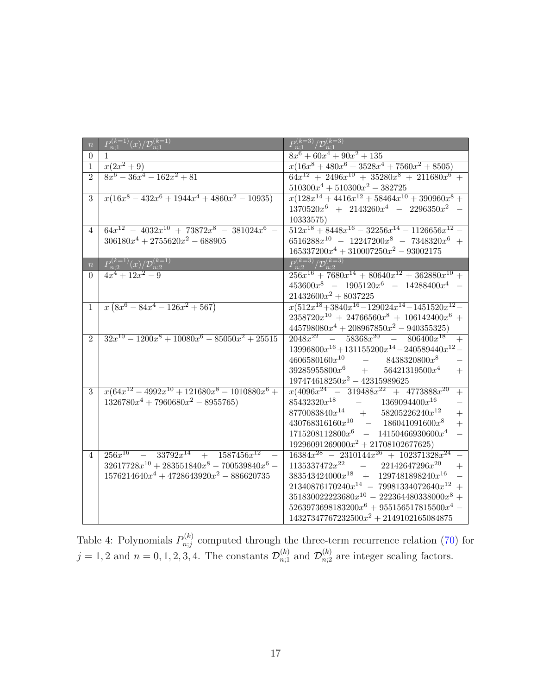<span id="page-16-0"></span>

| $\overline{n}$              | $\boxed{P_{n;1}^{(k=1)}(x)}/{\mathcal{D}_{n;1}^{(k=1)}}$                    | $P_{n;1}^{(k=3)}/\mathcal{D}_{n;1}^{(k=3)}$                                                   |
|-----------------------------|-----------------------------------------------------------------------------|-----------------------------------------------------------------------------------------------|
| $\Omega$                    |                                                                             | $\frac{n!}{8x^6+60x^4+90x^2+135}$                                                             |
| $\mathbf{1}$                | $\frac{x(2x^2+9)}{8x^6-36x^4-162x^2+81}$                                    | $x(16x^8+480x^6+3528x^4+7560x^2+8505)$                                                        |
| $\mathcal{D}_{\mathcal{L}}$ |                                                                             | $64x^{12} + 2496x^{10} + 35280x^8 + 211680x^6 +$                                              |
|                             |                                                                             | $510300x^4 + 510300x^2 - 382725$                                                              |
| 3                           | $x(16x^8 - 432x^6 + 1944x^4 + 4860x^2 - 10935)$                             | $x(128x^{14} + 4416x^{12} + 58464x^{10} + 390960x^8 +$                                        |
|                             |                                                                             | $1370520x^6 + 2143260x^4 - 2296350x^2$ -                                                      |
|                             |                                                                             | 10333575)                                                                                     |
| 4                           | $64x^{12} - 4032x^{10} + 73872x^8 - 381024x^6$                              | $\frac{512x^{18} + 8448x^{16} - 32256x^{14} - 1126656x^{12} -$                                |
|                             | $306180x^{4} + 2755620x^{2} - 688905$                                       | $6516288x^{10} - 12247200x^{8} - 7348320x^{6} +$                                              |
|                             |                                                                             | $165337200x^4 + 310007250x^2 - 93002175$                                                      |
| $\overline{n}$              | $P_{n;2}^{(k=1)}(x)/\mathcal{D}_{n;2}^{(k=1)}$<br>$4x^4+12x^2-9$            | $P_{n;2}^{(k=3)}/\mathcal{D}_{n;2}^{(k=3)}$                                                   |
| $\Omega$                    |                                                                             | $\frac{256x^{16} + 7680x^{14} + 80640x^{12} + 362880x^{10} + }{4000x^{12} + 362880x^{10} + }$ |
|                             |                                                                             | $453600x^8 \ \ - \ \ 1905120x^6 \ \ - \ \ 14288400x^4 \ \ -$                                  |
|                             |                                                                             | $21432600x^2+8037225$                                                                         |
| $\mathbf{1}$                | $x\left(8x^6-84x^4-126x^2+567\right)$                                       | $x(512x^{18}+3840x^{16}-129024x^{14}-1451520x^{12}-$                                          |
|                             |                                                                             | $2358720 x^{10} + 24766560 x^8 + 106142400 x^6 +$                                             |
|                             |                                                                             | $445798080x^4 + 208967850x^2 - 940355325$                                                     |
| $\mathfrak{D}$              | $\frac{32x^{10} - 1200x^8 + 10080x^6 - 85050x^2 + 25515}{x^2 + 25515}$      | $\sqrt{2048x^{22}}$ - $58368x^{20}$ - $806400x^{18}$<br>$^{+}$                                |
|                             |                                                                             | $13996800x^{16} + 131155200x^{14} - 240589440x^{12} -$                                        |
|                             |                                                                             | $4606580160x^{10}$ - $8438320800x^{8}$                                                        |
|                             |                                                                             | $39285955800x^6$ + $56421319500x^4$<br>$+$                                                    |
|                             |                                                                             | $197474618250x^2 - 42315989625$                                                               |
| 3                           | $x(64x^{12}-4992x^{10}+121680x^8-1010880x^6+$                               | $x(4096x^{24} - 319488x^{22} + 4773888x^{20})$<br>$+$                                         |
|                             | $1326780x^4 + 7960680x^2 - 8955765$                                         | $85432320x^{18}$ -<br>$1369094400x^{16}$                                                      |
|                             |                                                                             | $8770083840x^{14}\quad \  +\quad \  \  58205226240x^{12}$<br>$+$                              |
|                             |                                                                             | $430768316160x^{10} - 186041091600x^8$<br>$+$                                                 |
|                             |                                                                             | $1715208112800x^6$ - $14150466930600x^4$                                                      |
|                             |                                                                             | $19296091269000x^2 + 21708102677625$                                                          |
| 4                           | $\frac{256x^{16}}{ }$ - $\frac{33792x^{14}}{ }$ + $\frac{1587456x^{12}}{ }$ | $\frac{16384x^{28} - 2310144x^{26} + 102371328x^{24}}{25}$                                    |
|                             | $32617728x^{10} + 283551840x^8 - 700539840x^6$ -                            | $1135337472 x^{22} - 22142647296 x^{20}$<br>$+$                                               |
|                             | $1576214640x^{4} + 4728643920x^{2} - 886620735$                             | $383543424000 x^{18} \quad + \quad 1297481898240 x^{16}$                                      |
|                             |                                                                             | $21340876170240x^{14} - 79981334072640x^{12} +$                                               |
|                             |                                                                             | $351830022223680x^{10} - 222364480338000x^8 +$                                                |
|                             |                                                                             | $5263973698183200x^{6} + 955156517815500x^{4} -$                                              |
|                             |                                                                             | $14327347767232500x^2 + 2149102165084875$                                                     |

Table 4: Polynomials  $P_{n:i}^{(k)}$  $n_{i,j}^{(k)}$  computed through the three-term recurrence relation [\(70\)](#page-15-0) for  $j = 1, 2$  and  $n = 0, 1, 2, 3, 4$ . The constants  $\mathcal{D}_{n;1}^{(k)}$  and  $\mathcal{D}_{n;2}^{(k)}$  are integer scaling factors.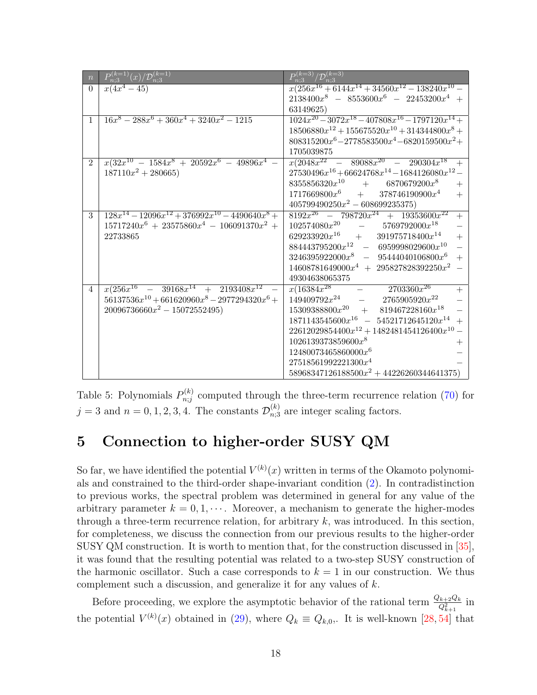<span id="page-17-1"></span>

| $\overline{n}$ | $P_{n;3}^{(k=1)}(x)/\mathcal{D}_{n;3}^{(k=1)}$     | $P^{(k=3)}/\mathcal{D}^{(k=3)}$                                                                     |
|----------------|----------------------------------------------------|-----------------------------------------------------------------------------------------------------|
| $\Omega$       | $x(4x^4-45)$                                       | $x(256x^{16} + 6144x^{14} + 34560x^{12} - 138240x^{10} -$                                           |
|                |                                                    | $2138400x^8$ - $8553600x^6$ - $22453200x^4$ +                                                       |
|                |                                                    | 63149625)                                                                                           |
| 1              | $16x^8 - 288x^6 + 360x^4 + 3240x^2 - 1215$         | $\frac{1024x^{20} - 3072x^{18} - 407808x^{16} - 1797120x^{14} + }{407808x^{16} - 1797120x^{14} + }$ |
|                |                                                    | $18506880x^{12} + 155675520x^{10} + 314344800x^8 +$                                                 |
|                |                                                    | $808315200x^{6} - 2778583500x^{4} - 6820159500x^{2} +$                                              |
|                |                                                    | 1705039875                                                                                          |
| $\mathfrak{D}$ | $x(32x^{10} - 1584x^8 + 20592x^6 - 49896x^4 -$     | $\sqrt{x(2048x^{22} - 89088x^{20} - 290304x^{18})}$                                                 |
|                | $187110x^2 + 280665$                               | $27530496x^{16} + 66624768x^{14} - 1684126080x^{12} -$                                              |
|                |                                                    | $8355856320x^{10}$ + 6870679200 $x^8$<br>$+$                                                        |
|                |                                                    | $1717669800x^6$ + $378746190900x^4$<br>$+$                                                          |
|                |                                                    | $405799490250x^2 - 608699235375$                                                                    |
| 3              |                                                    | $\frac{8192x^{26}}{-} 798720x^{24} + 19353600x^{22}$<br>$^{+}$                                      |
|                | $15717240x^{6} + 23575860x^{4} - 106091370x^{2} +$ | $102574080x^{20}$ - $5769792000x^{18}$                                                              |
|                | 22733865                                           | $629233920x^{16}$<br>$+$<br>$391975718400x^{14}$<br>$+$                                             |
|                |                                                    | $884443795200x^{12} - 6959998029600x^{10}$                                                          |
|                |                                                    | $3246395922000x^8$ - $95444040106800x^6$<br>$+$                                                     |
|                |                                                    | $14608781649000x^4 + 295827828392250x^2$                                                            |
|                |                                                    | 49304638065375                                                                                      |
| $\overline{4}$ | $x(256x^{16} - 39168x^{14} + 2193408x^{12})$       | $x(16384x^{28} - 2703360x^{26})$<br>$+$                                                             |
|                | $56137536x^{10} + 661620960x^8 - 2977294320x^6 +$  | $149409792x^{24}$ - $2765905920x^{22}$                                                              |
|                | $20096736660x^2 - 15072552495$                     | $15309388800x^{20} +$<br>$819467228160x^{18}$                                                       |
|                |                                                    | $1871143545600x^{16} - 54521712645120x^{14}$<br>$+$                                                 |
|                |                                                    | $22612029854400x^{12} + 1482481454126400x^{10} -$                                                   |
|                |                                                    | $1026139373859600x^8$<br>$^+$                                                                       |
|                |                                                    | $12480073465860000x^6$                                                                              |
|                |                                                    | $27518561992221300x^4$                                                                              |
|                |                                                    | $58968347126188500x^2 + 44226260344641375$                                                          |

Table 5: Polynomials  $P_{n:i}^{(k)}$  $n_{i,j}^{(k)}$  computed through the three-term recurrence relation [\(70\)](#page-15-0) for  $j = 3$  and  $n = 0, 1, 2, 3, 4$ . The constants  $\mathcal{D}_{n;3}^{(k)}$  are integer scaling factors.

## <span id="page-17-0"></span>5 Connection to higher-order SUSY QM

So far, we have identified the potential  $V^{(k)}(x)$  written in terms of the Okamoto polynomials and constrained to the third-order shape-invariant condition [\(2\)](#page-3-1). In contradistinction to previous works, the spectral problem was determined in general for any value of the arbitrary parameter  $k = 0, 1, \dots$ . Moreover, a mechanism to generate the higher-modes through a three-term recurrence relation, for arbitrary  $k$ , was introduced. In this section, for completeness, we discuss the connection from our previous results to the higher-order SUSY QM construction. It is worth to mention that, for the construction discussed in [\[35\]](#page-30-11), it was found that the resulting potential was related to a two-step SUSY construction of the harmonic oscillator. Such a case corresponds to  $k = 1$  in our construction. We thus complement such a discussion, and generalize it for any values of k.

Before proceeding, we explore the asymptotic behavior of the rational term  $\frac{Q_{k+2}Q_k}{Q_{k+1}^2}$  in the potential  $V^{(k)}(x)$  obtained in [\(29\)](#page-6-2), where  $Q_k \equiv Q_{k,0}$ . It is well-known [\[28,](#page-29-8) [54\]](#page-31-6) that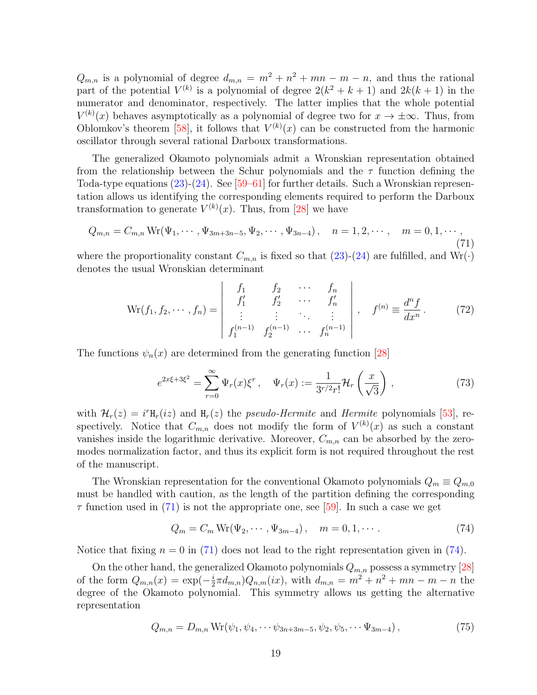$Q_{m,n}$  is a polynomial of degree  $d_{m,n} = m^2 + n^2 + mn - m - n$ , and thus the rational part of the potential  $V^{(k)}$  is a polynomial of degree  $2(k^2 + k + 1)$  and  $2k(k + 1)$  in the numerator and denominator, respectively. The latter implies that the whole potential  $V^{(k)}(x)$  behaves asymptotically as a polynomial of degree two for  $x \to \pm \infty$ . Thus, from Oblomkov's theorem [\[58\]](#page-31-10), it follows that  $V^{(k)}(x)$  can be constructed from the harmonic oscillator through several rational Darboux transformations.

The generalized Okamoto polynomials admit a Wronskian representation obtained from the relationship between the Schur polynomials and the  $\tau$  function defining the Toda-type equations [\(23\)](#page-5-0)-[\(24\)](#page-5-5). See [\[59–](#page-31-11)[61\]](#page-31-12) for further details. Such a Wronskian representation allows us identifying the corresponding elements required to perform the Darboux transformation to generate  $V^{(k)}(x)$ . Thus, from [\[28\]](#page-29-8) we have

<span id="page-18-0"></span>
$$
Q_{m,n} = C_{m,n} \operatorname{Wr}(\Psi_1, \cdots, \Psi_{3m+3n-5}, \Psi_2, \cdots, \Psi_{3n-4}), \quad n = 1, 2, \cdots, \quad m = 0, 1, \cdots,
$$
\n(71)

where the proportionality constant  $C_{m,n}$  is fixed so that [\(23\)](#page-5-0)-[\(24\)](#page-5-5) are fulfilled, and  $Wr(\cdot)$ denotes the usual Wronskian determinant

$$
\text{Wr}(f_1, f_2, \cdots, f_n) = \begin{vmatrix} f_1 & f_2 & \cdots & f_n \\ f'_1 & f'_2 & \cdots & f'_n \\ \vdots & \vdots & \ddots & \vdots \\ f_1^{(n-1)} & f_2^{(n-1)} & \cdots & f_n^{(n-1)} \end{vmatrix}, \quad f^{(n)} \equiv \frac{d^n f}{dx^n}.
$$
 (72)

The functions  $\psi_n(x)$  are determined from the generating function [\[28\]](#page-29-8)

<span id="page-18-3"></span>
$$
e^{2x\xi + 3\xi^2} = \sum_{r=0}^{\infty} \Psi_r(x)\xi^r, \quad \Psi_r(x) := \frac{1}{3^{r/2}r!} \mathcal{H}_r\left(\frac{x}{\sqrt{3}}\right),\tag{73}
$$

with  $\mathcal{H}_r(z) = i^r H_r(iz)$  and  $H_r(z)$  the *pseudo-Hermite* and *Hermite* polynomials [\[53\]](#page-31-5), respectively. Notice that  $C_{m,n}$  does not modify the form of  $V^{(k)}(x)$  as such a constant vanishes inside the logarithmic derivative. Moreover,  $C_{m,n}$  can be absorbed by the zeromodes normalization factor, and thus its explicit form is not required throughout the rest of the manuscript.

The Wronskian representation for the conventional Okamoto polynomials  $Q_m \equiv Q_{m,0}$ must be handled with caution, as the length of the partition defining the corresponding  $\tau$  function used in [\(71\)](#page-18-0) is not the appropriate one, see [\[59\]](#page-31-11). In such a case we get

<span id="page-18-1"></span>
$$
Q_m = C_m \text{Wr}(\Psi_2, \cdots, \Psi_{3m-4}), \quad m = 0, 1, \cdots.
$$
 (74)

Notice that fixing  $n = 0$  in [\(71\)](#page-18-0) does not lead to the right representation given in [\(74\)](#page-18-1).

On the other hand, the generalized Okamoto polynomials  $Q_{m,n}$  possess a symmetry [\[28\]](#page-29-8) of the form  $Q_{m,n}(x) = \exp(-\frac{i}{2})$  $\frac{i}{2}\pi d_{m,n}Q_{n,m}(ix)$ , with  $d_{m,n} = m^2 + n^2 + mn - m - n$  the degree of the Okamoto polynomial. This symmetry allows us getting the alternative representation

<span id="page-18-2"></span>
$$
Q_{m,n} = D_{m,n} \operatorname{Wr}(\psi_1, \psi_4, \cdots \psi_{3n+3m-5}, \psi_2, \psi_5, \cdots \Psi_{3m-4}), \qquad (75)
$$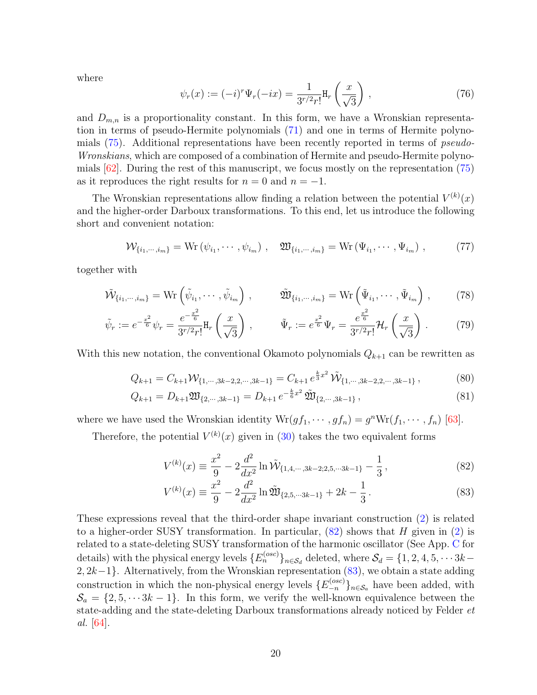where

$$
\psi_r(x) := (-i)^r \Psi_r(-ix) = \frac{1}{3^{r/2} r!} \mathbf{H}_r\left(\frac{x}{\sqrt{3}}\right) ,\qquad (76)
$$

and  $D_{m,n}$  is a proportionality constant. In this form, we have a Wronskian representation in terms of pseudo-Hermite polynomials [\(71\)](#page-18-0) and one in terms of Hermite polyno-mials [\(75\)](#page-18-2). Additional representations have been recently reported in terms of *pseudo-*Wronskians, which are composed of a combination of Hermite and pseudo-Hermite polynomials  $[62]$ . During the rest of this manuscript, we focus mostly on the representation  $(75)$ as it reproduces the right results for  $n = 0$  and  $n = -1$ .

The Wronskian representations allow finding a relation between the potential  $V^{(k)}(x)$ and the higher-order Darboux transformations. To this end, let us introduce the following short and convenient notation:

<span id="page-19-3"></span><span id="page-19-2"></span>
$$
\mathcal{W}_{\{i_1,\dots,i_m\}} = \text{Wr}\left(\psi_{i_1},\dots,\psi_{i_m}\right), \quad \mathfrak{W}_{\{i_1,\dots,i_m\}} = \text{Wr}\left(\Psi_{i_1},\dots,\Psi_{i_m}\right),\tag{77}
$$

together with

$$
\widetilde{\mathcal{W}}_{\{i_1,\cdots,i_m\}} = \text{Wr}\left(\widetilde{\psi}_{i_1},\cdots,\widetilde{\psi}_{i_m}\right), \qquad \widetilde{\mathfrak{W}}_{\{i_1,\cdots,i_m\}} = \text{Wr}\left(\widetilde{\Psi}_{i_1},\cdots,\widetilde{\Psi}_{i_m}\right), \qquad (78)
$$

$$
\tilde{\psi}_r := e^{-\frac{x^2}{6}} \psi_r = \frac{e^{-\frac{x^2}{6}}}{3^{r/2} r!} \mathbf{H}_r \left( \frac{x}{\sqrt{3}} \right) , \qquad \tilde{\Psi}_r := e^{\frac{x^2}{6}} \Psi_r = \frac{e^{\frac{x^2}{6}}}{3^{r/2} r!} \mathcal{H}_r \left( \frac{x}{\sqrt{3}} \right) . \tag{79}
$$

With this new notation, the conventional Okamoto polynomials  $Q_{k+1}$  can be rewritten as

$$
Q_{k+1} = C_{k+1} \mathcal{W}_{\{1,\cdots,3k-2,2,\cdots,3k-1\}} = C_{k+1} e^{\frac{k}{3}x^2} \tilde{\mathcal{W}}_{\{1,\cdots,3k-2,2,\cdots,3k-1\}} ,\qquad (80)
$$

$$
Q_{k+1} = D_{k+1} \mathfrak{W}_{\{2,\cdots,3k-1\}} = D_{k+1} e^{-\frac{k}{6}x^2} \tilde{\mathfrak{W}}_{\{2,\cdots,3k-1\}}\,,\tag{81}
$$

where we have used the Wronskian identity  $\text{Wr}(gf_1, \dots, gf_n) = g^n \text{Wr}(f_1, \dots, f_n)$  [\[63\]](#page-32-1).

Therefore, the potential  $V^{(k)}(x)$  given in [\(30\)](#page-6-3) takes the two equivalent forms

<span id="page-19-4"></span>
$$
V^{(k)}(x) \equiv \frac{x^2}{9} - 2\frac{d^2}{dx^2} \ln \tilde{\mathcal{W}}_{\{1,4,\cdots,3k-2;2,5,\cdots,3k-1\}} - \frac{1}{3},\tag{82}
$$

<span id="page-19-1"></span><span id="page-19-0"></span>
$$
V^{(k)}(x) \equiv \frac{x^2}{9} - 2\frac{d^2}{dx^2} \ln \tilde{\mathfrak{W}}_{\{2,5,\cdots 3k-1\}} + 2k - \frac{1}{3}.
$$
 (83)

These expressions reveal that the third-order shape invariant construction [\(2\)](#page-3-1) is related to a higher-order SUSY transformation. In particular,  $(82)$  shows that H given in [\(2\)](#page-3-1) is related to a state-deleting SUSY transformation of the harmonic oscillator (See App. [C](#page-27-0) for details) with the physical energy levels  ${E_n^{(osc)}}_{n \in S_d}$  deleted, where  $S_d = \{1, 2, 4, 5, \cdots 3k-1\}$  $2, 2k-1$ . Alternatively, from the Wronskian representation  $(83)$ , we obtain a state adding construction in which the non-physical energy levels  $\{E_{-n}^{(osc)}\}_{n \in S_a}$  have been added, with  $\mathcal{S}_a = \{2, 5, \dots 3k-1\}$ . In this form, we verify the well-known equivalence between the state-adding and the state-deleting Darboux transformations already noticed by Felder et al. [\[64\]](#page-32-2).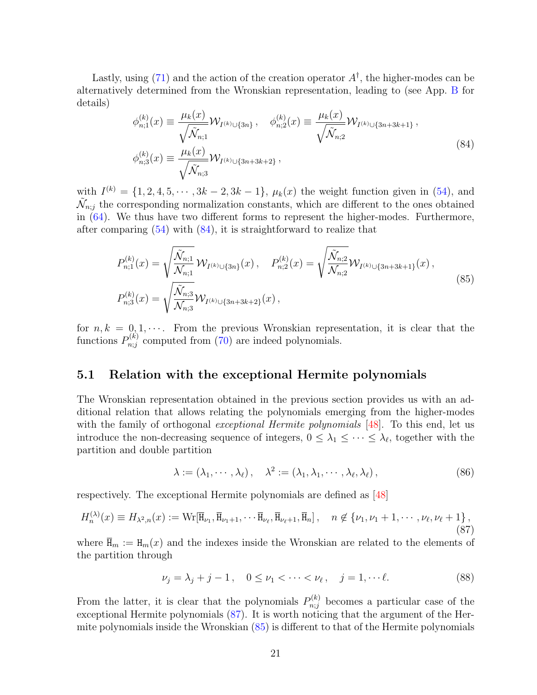Lastly, using [\(71\)](#page-18-0) and the action of the creation operator  $A^{\dagger}$ , the higher-modes can be alternatively determined from the Wronskian representation, leading to (see App. [B](#page-25-0) for details)

<span id="page-20-0"></span>
$$
\phi_{n;1}^{(k)}(x) \equiv \frac{\mu_k(x)}{\sqrt{\tilde{\mathcal{N}}_{n;1}}} \mathcal{W}_{I^{(k)} \cup \{3n\}}, \quad \phi_{n;2}^{(k)}(x) \equiv \frac{\mu_k(x)}{\sqrt{\tilde{\mathcal{N}}_{n;2}}} \mathcal{W}_{I^{(k)} \cup \{3n+3k+1\}},
$$
\n
$$
\phi_{n;3}^{(k)}(x) \equiv \frac{\mu_k(x)}{\sqrt{\tilde{\mathcal{N}}_{n;3}}} \mathcal{W}_{I^{(k)} \cup \{3n+3k+2\}},
$$
\n(84)

with  $I^{(k)} = \{1, 2, 4, 5, \cdots, 3k - 2, 3k - 1\}, \mu_k(x)$  the weight function given in [\(54\)](#page-12-1), and  $\tilde{\mathcal{N}}_{n;j}$  the corresponding normalization constants, which are different to the ones obtained in [\(64\)](#page-14-1). We thus have two different forms to represent the higher-modes. Furthermore, after comparing  $(54)$  with  $(84)$ , it is straightforward to realize that

<span id="page-20-2"></span>
$$
P_{n;1}^{(k)}(x) = \sqrt{\frac{\tilde{\mathcal{N}}_{n;1}}{\mathcal{N}_{n;1}}} \mathcal{W}_{I^{(k)} \cup \{3n\}}(x), \quad P_{n;2}^{(k)}(x) = \sqrt{\frac{\tilde{\mathcal{N}}_{n;2}}{\mathcal{N}_{n;2}}} \mathcal{W}_{I^{(k)} \cup \{3n+3k+1\}}(x),
$$
  
\n
$$
P_{n;3}^{(k)}(x) = \sqrt{\frac{\tilde{\mathcal{N}}_{n;3}}{\mathcal{N}_{n;3}}} \mathcal{W}_{I^{(k)} \cup \{3n+3k+2\}}(x),
$$
\n(85)

for  $n, k = 0, 1, \cdots$ . From the previous Wronskian representation, it is clear that the functions  $P_{n:i}^{(k)}$  $n_{n;j}^{(k)}$  computed from [\(70\)](#page-15-0) are indeed polynomials.

### 5.1 Relation with the exceptional Hermite polynomials

The Wronskian representation obtained in the previous section provides us with an additional relation that allows relating the polynomials emerging from the higher-modes with the family of orthogonal *exceptional Hermite polynomials* [\[48\]](#page-31-1). To this end, let us introduce the non-decreasing sequence of integers,  $0 \leq \lambda_1 \leq \cdots \leq \lambda_{\ell}$ , together with the partition and double partition

$$
\lambda := (\lambda_1, \cdots, \lambda_\ell), \quad \lambda^2 := (\lambda_1, \lambda_1, \cdots, \lambda_\ell, \lambda_\ell), \tag{86}
$$

respectively. The exceptional Hermite polynomials are defined as [\[48\]](#page-31-1)

<span id="page-20-1"></span>
$$
H_n^{(\lambda)}(x) \equiv H_{\lambda^2,n}(x) := \text{Wr}[\overline{\mathbf{H}}_{\nu_1}, \overline{\mathbf{H}}_{\nu_1+1}, \cdots \overline{\mathbf{H}}_{\nu_\ell}, \overline{\mathbf{H}}_{\nu_\ell+1}, \overline{\mathbf{H}}_n], \quad n \notin \{\nu_1, \nu_1 + 1, \cdots, \nu_\ell, \nu_\ell + 1\},
$$
\n(87)

where  $\bar{H}_m := H_m(x)$  and the indexes inside the Wronskian are related to the elements of the partition through

$$
\nu_j = \lambda_j + j - 1, \quad 0 \le \nu_1 < \dots < \nu_\ell, \quad j = 1, \dots \ell. \tag{88}
$$

From the latter, it is clear that the polynomials  $P_{n;j}^{(k)}$  becomes a particular case of the exceptional Hermite polynomials [\(87\)](#page-20-1). It is worth noticing that the argument of the Hermite polynomials inside the Wronskian [\(85\)](#page-20-2) is different to that of the Hermite polynomials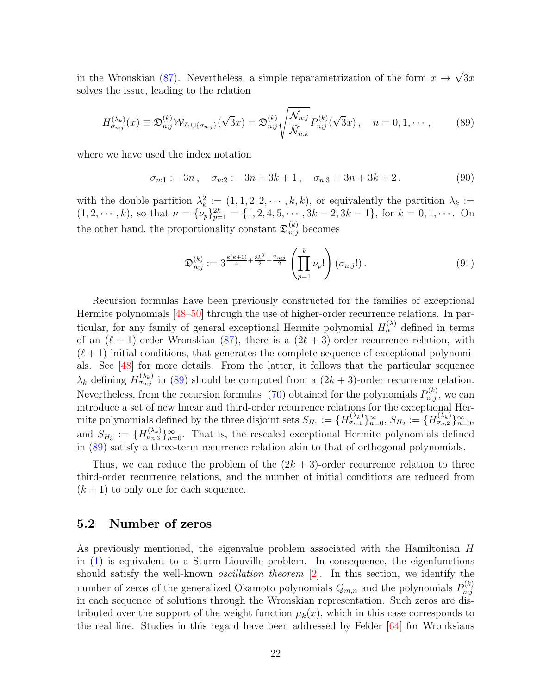in the Wronskian [\(87\)](#page-20-1). Nevertheless, a simple reparametrization of the form  $x \rightarrow$ √  $3x$ solves the issue, leading to the relation

<span id="page-21-1"></span>
$$
H_{\sigma_{n;j}}^{(\lambda_k)}(x) \equiv \mathfrak{D}_{n;j}^{(k)} \mathcal{W}_{\mathcal{I}_1 \cup \{\sigma_{n;j}\}}(\sqrt{3}x) = \mathfrak{D}_{n;j}^{(k)} \sqrt{\frac{\mathcal{N}_{n;j}}{\tilde{\mathcal{N}}_{n;k}}} P_{n;j}^{(k)}(\sqrt{3}x), \quad n = 0, 1, \cdots,
$$
 (89)

where we have used the index notation

$$
\sigma_{n;1} := 3n \,, \quad \sigma_{n;2} := 3n + 3k + 1 \,, \quad \sigma_{n;3} = 3n + 3k + 2 \,. \tag{90}
$$

with the double partition  $\lambda_k^2 := (1, 1, 2, 2, \dots, k, k)$ , or equivalently the partition  $\lambda_k :=$  $(1, 2, \dots, k)$ , so that  $\nu = {\{\nu_p\}}_{p=1}^{2k} = {1, 2, 4, 5, \dots, 3k - 2, 3k - 1}$ , for  $k = 0, 1, \dots$ . On the other hand, the proportionality constant  $\mathfrak{D}_{n;j}^{(k)}$  becomes

$$
\mathfrak{D}_{n;j}^{(k)} := 3^{\frac{k(k+1)}{4} + \frac{3k^2}{2} + \frac{\sigma_{n;j}}{2}} \left( \prod_{p=1}^k \nu_p! \right) (\sigma_{n;j}!) \,. \tag{91}
$$

Recursion formulas have been previously constructed for the families of exceptional Hermite polynomials [\[48–](#page-31-1)[50\]](#page-31-2) through the use of higher-order recurrence relations. In particular, for any family of general exceptional Hermite polynomial  $H_n^{(\lambda)}$  defined in terms of an  $(\ell + 1)$ -order Wronskian [\(87\)](#page-20-1), there is a  $(2\ell + 3)$ -order recurrence relation, with  $(\ell + 1)$  initial conditions, that generates the complete sequence of exceptional polynomials. See [\[48\]](#page-31-1) for more details. From the latter, it follows that the particular sequence  $\lambda_k$  defining  $H_{\sigma_{n;j}}^{(\lambda_k)}$  in [\(89\)](#page-21-1) should be computed from a  $(2k+3)$ -order recurrence relation. Nevertheless, from the recursion formulas [\(70\)](#page-15-0) obtained for the polynomials  $P_{n,i}^{(k)}$  $n_{n;j}^{(\kappa)}$ , we can introduce a set of new linear and third-order recurrence relations for the exceptional Hermite polynomials defined by the three disjoint sets  $S_{H_1} := \{H_{\sigma_{n;1}}^{(\lambda_k)}\}_{n=0}^{\infty}, S_{H_2} := \{H_{\sigma_{n;2}}^{(\lambda_k)}\}_{n=0}^{\infty}$ and  $S_{H_3} := \{H_{\sigma_{n;3}}^{(\lambda_k)}\}_{n=0}^{\infty}$ . That is, the rescaled exceptional Hermite polynomials defined in [\(89\)](#page-21-1) satisfy a three-term recurrence relation akin to that of orthogonal polynomials.

Thus, we can reduce the problem of the  $(2k+3)$ -order recurrence relation to three third-order recurrence relations, and the number of initial conditions are reduced from  $(k+1)$  to only one for each sequence.

### <span id="page-21-0"></span>5.2 Number of zeros

As previously mentioned, the eigenvalue problem associated with the Hamiltonian H in [\(1\)](#page-3-4) is equivalent to a Sturm-Liouville problem. In consequence, the eigenfunctions should satisfy the well-known *oscillation theorem* [\[2\]](#page-28-1). In this section, we identify the number of zeros of the generalized Okamoto polynomials  $Q_{m,n}$  and the polynomials  $P_{n;j}^{(k)}$  $n,j$ in each sequence of solutions through the Wronskian representation. Such zeros are distributed over the support of the weight function  $\mu_k(x)$ , which in this case corresponds to the real line. Studies in this regard have been addressed by Felder [\[64\]](#page-32-2) for Wronksians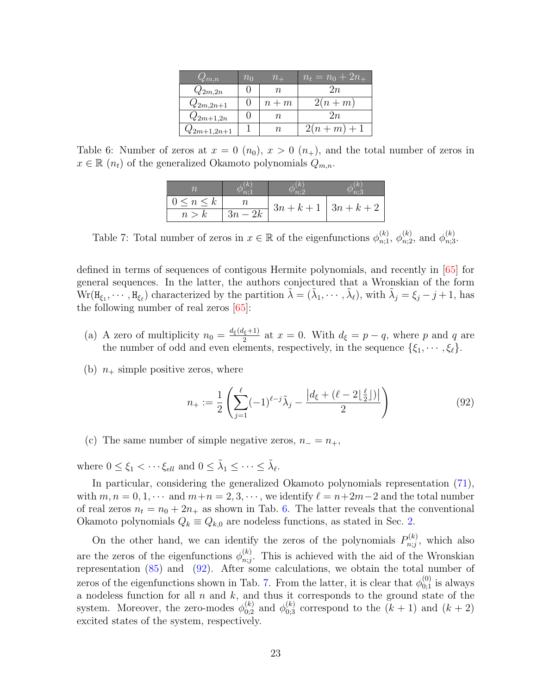| $Q_{m,n}$       | $n_0$ | $n_{+}$ | $n_t = n_0 + 2n_+$ |
|-----------------|-------|---------|--------------------|
| $Q_{2m,2n}$     |       | n.      | 2n                 |
| $Q_{2m,2n+1}$   |       | $n+m$   | $2(n+m)$           |
| $Q_{2m+1,2n}$   |       | п.      | 2n                 |
| $Q_{2m+1,2n+1}$ |       | n       | $2(n+m)+1$         |

<span id="page-22-2"></span><span id="page-22-0"></span>Table 6: Number of zeros at  $x = 0$   $(n_0)$ ,  $x > 0$   $(n_+)$ , and the total number of zeros in  $x \in \mathbb{R}$  ( $n_t$ ) of the generalized Okamoto polynomials  $Q_{m,n}$ .

| $\vert 0 \leq n \leq k$ |         | $3n+k+1$   $3n+k+2$ |  |
|-------------------------|---------|---------------------|--|
| n > k                   | $3n-2k$ |                     |  |

Table 7: Total number of zeros in  $x \in \mathbb{R}$  of the eigenfunctions  $\phi_{n;1}^{(k)}$ ,  $\phi_{n;2}^{(k)}$ , and  $\phi_{n;3}^{(k)}$ .

defined in terms of sequences of contigous Hermite polynomials, and recently in [\[65\]](#page-32-3) for general sequences. In the latter, the authors conjectured that a Wronskian of the form  $Wr(H_{\xi_1}, \dots, H_{\xi_\ell})$  characterized by the partition  $\tilde{\lambda} = (\tilde{\lambda}_1, \dots, \tilde{\lambda}_\ell)$ , with  $\tilde{\lambda}_j = \xi_j - j + 1$ , has the following number of real zeros [\[65\]](#page-32-3):

- (a) A zero of multiplicity  $n_0 = \frac{d_{\xi}(d_{\xi}+1)}{2}$  $a_{\xi}^{(\xi+1)}$  at  $x = 0$ . With  $d_{\xi} = p - q$ , where p and q are the number of odd and even elements, respectively, in the sequence  $\{\xi_1, \dots, \xi_\ell\}.$
- (b)  $n_{+}$  simple positive zeros, where

<span id="page-22-1"></span>
$$
n_{+} := \frac{1}{2} \left( \sum_{j=1}^{\ell} (-1)^{\ell-j} \tilde{\lambda}_{j} - \frac{|d_{\xi} + (\ell - 2\lfloor \frac{\ell}{2} \rfloor)|}{2} \right) \tag{92}
$$

(c) The same number of simple negative zeros,  $n_ - = n_+$ ,

where  $0 \leq \xi_1 < \cdots \xi_{ell}$  and  $0 \leq \tilde{\lambda}_1 \leq \cdots \leq \tilde{\lambda}_{\ell}$ .

In particular, considering the generalized Okamoto polynomials representation [\(71\)](#page-18-0), with  $m, n = 0, 1, \cdots$  and  $m+n = 2, 3, \cdots$ , we identify  $\ell = n+2m-2$  and the total number of real zeros  $n_t = n_0 + 2n_+$  as shown in Tab. [6.](#page-22-0) The latter reveals that the conventional Okamoto polynomials  $Q_k \equiv Q_{k,0}$  are nodeless functions, as stated in Sec. [2.](#page-3-0)

On the other hand, we can identify the zeros of the polynomials  $P_{n,i}^{(k)}$  $p_{n;j}^{(\kappa)}$ , which also are the zeros of the eigenfunctions  $\phi_{n,i}^{(k)}$  $\binom{k}{n,j}$ . This is achieved with the aid of the Wronskian representation  $(85)$  and  $(92)$ . After some calculations, we obtain the total number of zeros of the eigenfunctions shown in Tab. [7.](#page-22-2) From the latter, it is clear that  $\phi_{0;1}^{(0)}$  is always a nodeless function for all  $n$  and  $k$ , and thus it corresponds to the ground state of the system. Moreover, the zero-modes  $\phi_{0;2}^{(k)}$  and  $\phi_{0;3}^{(k)}$  correspond to the  $(k+1)$  and  $(k+2)$ excited states of the system, respectively.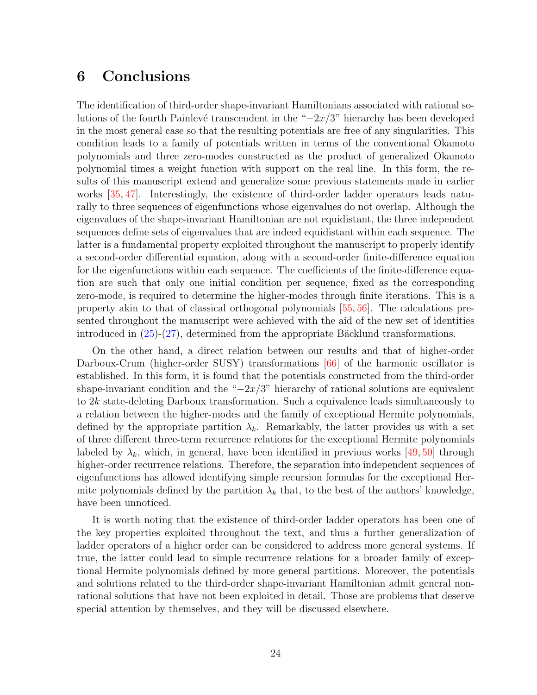## 6 Conclusions

The identification of third-order shape-invariant Hamiltonians associated with rational solutions of the fourth Painlevé transcendent in the " $-2x/3$ " hierarchy has been developed in the most general case so that the resulting potentials are free of any singularities. This condition leads to a family of potentials written in terms of the conventional Okamoto polynomials and three zero-modes constructed as the product of generalized Okamoto polynomial times a weight function with support on the real line. In this form, the results of this manuscript extend and generalize some previous statements made in earlier works [\[35,](#page-30-11) [47\]](#page-31-0). Interestingly, the existence of third-order ladder operators leads naturally to three sequences of eigenfunctions whose eigenvalues do not overlap. Although the eigenvalues of the shape-invariant Hamiltonian are not equidistant, the three independent sequences define sets of eigenvalues that are indeed equidistant within each sequence. The latter is a fundamental property exploited throughout the manuscript to properly identify a second-order differential equation, along with a second-order finite-difference equation for the eigenfunctions within each sequence. The coefficients of the finite-difference equation are such that only one initial condition per sequence, fixed as the corresponding zero-mode, is required to determine the higher-modes through finite iterations. This is a property akin to that of classical orthogonal polynomials [\[55,](#page-31-7) [56\]](#page-31-8). The calculations presented throughout the manuscript were achieved with the aid of the new set of identities introduced in  $(25)-(27)$  $(25)-(27)$  $(25)-(27)$ , determined from the appropriate Bäcklund transformations.

On the other hand, a direct relation between our results and that of higher-order Darboux-Crum (higher-order SUSY) transformations [\[66\]](#page-32-4) of the harmonic oscillator is established. In this form, it is found that the potentials constructed from the third-order shape-invariant condition and the " $-2x/3$ " hierarchy of rational solutions are equivalent to  $2k$  state-deleting Darboux transformation. Such a equivalence leads simultaneously to a relation between the higher-modes and the family of exceptional Hermite polynomials, defined by the appropriate partition  $\lambda_k$ . Remarkably, the latter provides us with a set of three different three-term recurrence relations for the exceptional Hermite polynomials labeled by  $\lambda_k$ , which, in general, have been identified in previous works [\[49,](#page-31-13) [50\]](#page-31-2) through higher-order recurrence relations. Therefore, the separation into independent sequences of eigenfunctions has allowed identifying simple recursion formulas for the exceptional Hermite polynomials defined by the partition  $\lambda_k$  that, to the best of the authors' knowledge, have been unnoticed.

It is worth noting that the existence of third-order ladder operators has been one of the key properties exploited throughout the text, and thus a further generalization of ladder operators of a higher order can be considered to address more general systems. If true, the latter could lead to simple recurrence relations for a broader family of exceptional Hermite polynomials defined by more general partitions. Moreover, the potentials and solutions related to the third-order shape-invariant Hamiltonian admit general nonrational solutions that have not been exploited in detail. Those are problems that deserve special attention by themselves, and they will be discussed elsewhere.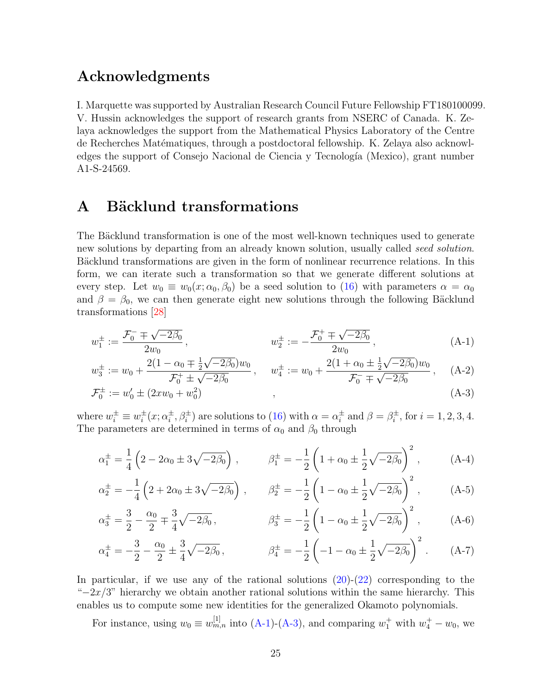### Acknowledgments

I. Marquette was supported by Australian Research Council Future Fellowship FT180100099. V. Hussin acknowledges the support of research grants from NSERC of Canada. K. Zelaya acknowledges the support from the Mathematical Physics Laboratory of the Centre de Recherches Matématiques, through a postdoctoral fellowship. K. Zelaya also acknowledges the support of Consejo Nacional de Ciencia y Tecnología (Mexico), grant number A1-S-24569.

## <span id="page-24-0"></span>A Bäcklund transformations

The Bäcklund transformation is one of the most well-known techniques used to generate new solutions by departing from an already known solution, usually called seed solution. Bäcklund transformations are given in the form of nonlinear recurrence relations. In this form, we can iterate such a transformation so that we generate different solutions at every step. Let  $w_0 \equiv w_0(x; \alpha_0, \beta_0)$  be a seed solution to [\(16\)](#page-4-9) with parameters  $\alpha = \alpha_0$ and  $\beta = \beta_0$ , we can then generate eight new solutions through the following Bäcklund transformations [\[28\]](#page-29-8)

<span id="page-24-1"></span>
$$
w_1^{\pm} := \frac{\mathcal{F}_0^- \mp \sqrt{-2\beta_0}}{2w_0} , \qquad \qquad w_2^{\pm} := -\frac{\mathcal{F}_0^+ \mp \sqrt{-2\beta_0}}{2w_0} , \qquad (A-1)
$$

$$
w_3^{\pm} := w_0 + \frac{2(1 - \alpha_0 \mp \frac{1}{2}\sqrt{-2\beta_0})w_0}{\mathcal{F}_0^+ \pm \sqrt{-2\beta_0}}, \quad w_4^{\pm} := w_0 + \frac{2(1 + \alpha_0 \pm \frac{1}{2}\sqrt{-2\beta_0})w_0}{\mathcal{F}_0^- \mp \sqrt{-2\beta_0}}, \quad (A-2)
$$

$$
\mathcal{F}_0^{\pm} := w_0' \pm (2xw_0 + w_0^2) \tag{A-3}
$$

where  $w_i^{\pm} \equiv w_i^{\pm}$  $\frac{1}{i}(x;\alpha_i^{\pm})$  $(\frac{\pm}{i}, \beta_i^{\pm})$  are solutions to [\(16\)](#page-4-9) with  $\alpha = \alpha_i^{\pm}$  $i^{\pm}$  and  $\beta = \beta_i^{\pm}$  $i_i^{\pm}$ , for  $i = 1, 2, 3, 4$ . The parameters are determined in terms of  $\alpha_0$  and  $\beta_0$  through

<span id="page-24-2"></span>
$$
\alpha_1^{\pm} = \frac{1}{4} \left( 2 - 2\alpha_0 \pm 3\sqrt{-2\beta_0} \right) , \qquad \beta_1^{\pm} = -\frac{1}{2} \left( 1 + \alpha_0 \pm \frac{1}{2} \sqrt{-2\beta_0} \right)^2 , \qquad (A-4)
$$

$$
\alpha_2^{\pm} = -\frac{1}{4} \left( 2 + 2\alpha_0 \pm 3\sqrt{-2\beta_0} \right) , \qquad \beta_2^{\pm} = -\frac{1}{2} \left( 1 - \alpha_0 \pm \frac{1}{2} \sqrt{-2\beta_0} \right)^2 , \qquad (A-5)
$$

$$
\alpha_3^{\pm} = \frac{3}{2} - \frac{\alpha_0}{2} \mp \frac{3}{4} \sqrt{-2\beta_0}, \qquad \beta_3^{\pm} = -\frac{1}{2} \left( 1 - \alpha_0 \pm \frac{1}{2} \sqrt{-2\beta_0} \right)^2, \qquad (A-6)
$$

$$
\alpha_4^{\pm} = -\frac{3}{2} - \frac{\alpha_0}{2} \pm \frac{3}{4} \sqrt{-2\beta_0}, \qquad \beta_4^{\pm} = -\frac{1}{2} \left( -1 - \alpha_0 \pm \frac{1}{2} \sqrt{-2\beta_0} \right)^2. \tag{A-7}
$$

In particular, if we use any of the rational solutions  $(20)-(22)$  $(20)-(22)$  $(20)-(22)$  corresponding to the  $-2x/3$ " hierarchy we obtain another rational solutions within the same hierarchy. This enables us to compute some new identities for the generalized Okamoto polynomials.

For instance, using  $w_0 \equiv w_{m,n}^{[1]}$  into [\(A-1\)](#page-24-1)-[\(A-3\)](#page-24-2), and comparing  $w_1^+$  with  $w_4^+ - w_0$ , we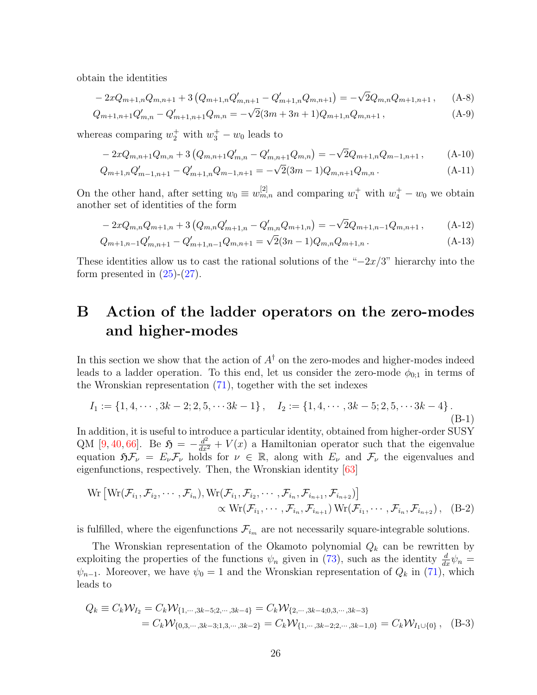obtain the identities

$$
-2xQ_{m+1,n}Q_{m,n+1} + 3(Q_{m+1,n}Q'_{m,n+1} - Q'_{m+1,n}Q_{m,n+1}) = -\sqrt{2}Q_{m,n}Q_{m+1,n+1}, \qquad (A-8)
$$

$$
Q_{m+1,n+1}Q'_{m,n} - Q'_{m+1,n+1}Q_{m,n} = -\sqrt{2}(3m+3n+1)Q_{m+1,n}Q_{m,n+1},\tag{A-9}
$$

whereas comparing  $w_2^+$  with  $w_3^+ - w_0$  leads to

$$
-2xQ_{m,n+1}Q_{m,n} + 3(Q_{m,n+1}Q'_{m,n} - Q'_{m,n+1}Q_{m,n}) = -\sqrt{2}Q_{m+1,n}Q_{m-1,n+1},
$$
 (A-10)

$$
Q_{m+1,n}Q'_{m-1,n+1} - Q'_{m+1,n}Q_{m-1,n+1} = -\sqrt{2}(3m-1)Q_{m,n+1}Q_{m,n}.
$$
\n(A-11)

On the other hand, after setting  $w_0 \equiv w_{m,n}^{[2]}$  and comparing  $w_1^+$  with  $w_4^+ - w_0$  we obtain another set of identities of the form

$$
-2xQ_{m,n}Q_{m+1,n} + 3(Q_{m,n}Q'_{m+1,n} - Q'_{m,n}Q_{m+1,n}) = -\sqrt{2}Q_{m+1,n-1}Q_{m,n+1},
$$
 (A-12)

$$
Q_{m+1,n-1}Q'_{m,n+1} - Q'_{m+1,n-1}Q_{m,n+1} = \sqrt{2}(3n-1)Q_{m,n}Q_{m+1,n}.
$$
\n(A-13)

These identities allow us to cast the rational solutions of the " $-2x/3$ " hierarchy into the form presented in  $(25)-(27)$  $(25)-(27)$  $(25)-(27)$ .

## <span id="page-25-0"></span>B Action of the ladder operators on the zero-modes and higher-modes

In this section we show that the action of  $A^{\dagger}$  on the zero-modes and higher-modes indeed leads to a ladder operation. To this end, let us consider the zero-mode  $\phi_{0,1}$  in terms of the Wronskian representation [\(71\)](#page-18-0), together with the set indexes

$$
I_1 := \{1, 4, \cdots, 3k - 2; 2, 5, \cdots 3k - 1\}, \quad I_2 := \{1, 4, \cdots, 3k - 5; 2, 5, \cdots 3k - 4\}.
$$
\n(B-1)

In addition, it is useful to introduce a particular identity, obtained from higher-order SUSY QM [\[9,](#page-28-3) [40,](#page-30-4) [66\]](#page-32-4). Be  $\mathfrak{H} = -\frac{d^2}{dx^2} + V(x)$  a Hamiltonian operator such that the eigenvalue equation  $\mathfrak{H}F_{\nu} = E_{\nu}F_{\nu}$  holds for  $\nu \in \mathbb{R}$ , along with  $E_{\nu}$  and  $\mathcal{F}_{\nu}$  the eigenvalues and eigenfunctions, respectively. Then, the Wronskian identity [\[63\]](#page-32-1)

<span id="page-25-1"></span>
$$
\text{Wr}\left[\text{Wr}(\mathcal{F}_{i_1}, \mathcal{F}_{i_2}, \cdots, \mathcal{F}_{i_n}), \text{Wr}(\mathcal{F}_{i_1}, \mathcal{F}_{i_2}, \cdots, \mathcal{F}_{i_n}, \mathcal{F}_{i_{n+1}}, \mathcal{F}_{i_{n+2}})\right] \times \text{Wr}(\mathcal{F}_{i_1}, \cdots, \mathcal{F}_{i_n}, \mathcal{F}_{i_{n+1}}) \text{Wr}(\mathcal{F}_{i_1}, \cdots, \mathcal{F}_{i_n}, \mathcal{F}_{i_{n+2}}), \quad \text{(B-2)}
$$

is fulfilled, where the eigenfunctions  $\mathcal{F}_{i_m}$  are not necessarily square-integrable solutions.

The Wronskian representation of the Okamoto polynomial  $Q_k$  can be rewritten by exploiting the properties of the functions  $\psi_n$  given in [\(73\)](#page-18-3), such as the identity  $\frac{d}{dx}\psi_n =$  $\psi_{n-1}$ . Moreover, we have  $\psi_0 = 1$  and the Wronskian representation of  $Q_k$  in [\(71\)](#page-18-0), which leads to

$$
Q_k \equiv C_k \mathcal{W}_{I_2} = C_k \mathcal{W}_{\{1, \cdots, 3k-5; 2, \cdots, 3k-4\}} = C_k \mathcal{W}_{\{2, \cdots, 3k-4; 0, 3, \cdots, 3k-3\}}
$$
  
=  $C_k \mathcal{W}_{\{0, 3, \cdots, 3k-3; 1, 3, \cdots, 3k-2\}} = C_k \mathcal{W}_{\{1, \cdots, 3k-2; 2, \cdots, 3k-1, 0\}} = C_k \mathcal{W}_{I_1 \cup \{0\}},$  (B-3)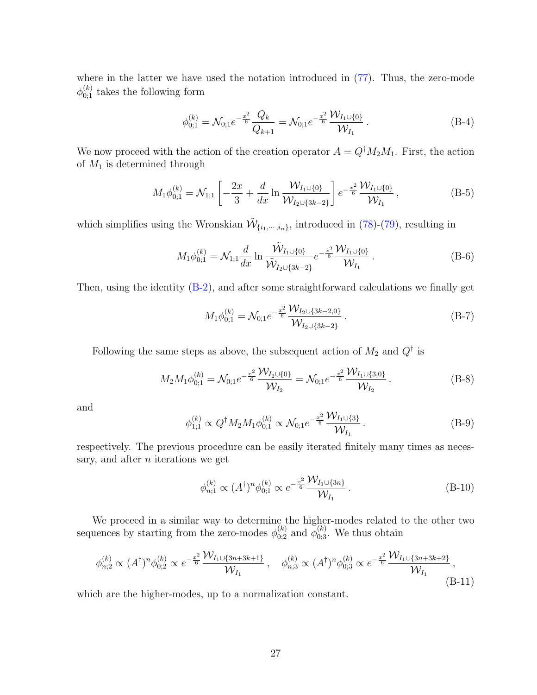where in the latter we have used the notation introduced in  $(77)$ . Thus, the zero-mode  $\phi_{0;1}^{(k)}$  takes the following form

$$
\phi_{0;1}^{(k)} = \mathcal{N}_{0;1} e^{-\frac{x^2}{6}} \frac{Q_k}{Q_{k+1}} = \mathcal{N}_{0;1} e^{-\frac{x^2}{6}} \frac{\mathcal{W}_{I_1 \cup \{0\}}}{\mathcal{W}_{I_1}}.
$$
\n(B-4)

We now proceed with the action of the creation operator  $A = Q^{\dagger} M_2 M_1$ . First, the action of  $M_1$  is determined through

$$
M_1 \phi_{0;1}^{(k)} = \mathcal{N}_{1;1} \left[ -\frac{2x}{3} + \frac{d}{dx} \ln \frac{\mathcal{W}_{I_1 \cup \{0\}}}{\mathcal{W}_{I_2 \cup \{3k-2\}}} \right] e^{-\frac{x^2}{6}} \frac{\mathcal{W}_{I_1 \cup \{0\}}}{\mathcal{W}_{I_1}} , \qquad (B-5)
$$

which simplifies using the Wronskian  $\mathcal{\tilde{W}}_{\{i_1,\dots,i_n\}}$ , introduced in [\(78\)](#page-19-3)-[\(79\)](#page-19-4), resulting in

$$
M_1 \phi_{0;1}^{(k)} = \mathcal{N}_{1;1} \frac{d}{dx} \ln \frac{\tilde{\mathcal{W}}_{I_1 \cup \{0\}}}{\tilde{\mathcal{W}}_{I_2 \cup \{3k-2\}}} e^{-\frac{x^2}{6}} \frac{\mathcal{W}_{I_1 \cup \{0\}}}{\mathcal{W}_{I_1}}.
$$
 (B-6)

Then, using the identity [\(B-2\)](#page-25-1), and after some straightforward calculations we finally get

$$
M_1 \phi_{0;1}^{(k)} = \mathcal{N}_{0;1} e^{-\frac{x^2}{6}} \frac{\mathcal{W}_{I_2 \cup \{3k-2,0\}}}{\mathcal{W}_{I_2 \cup \{3k-2\}}}.
$$
 (B-7)

Following the same steps as above, the subsequent action of  $M_2$  and  $Q^{\dagger}$  is

$$
M_2 M_1 \phi_{0;1}^{(k)} = \mathcal{N}_{0;1} e^{-\frac{x^2}{6}} \frac{\mathcal{W}_{I_2 \cup \{0\}}}{\mathcal{W}_{I_2}} = \mathcal{N}_{0;1} e^{-\frac{x^2}{6}} \frac{\mathcal{W}_{I_1 \cup \{3,0\}}}{\mathcal{W}_{I_2}}.
$$
 (B-8)

and

$$
\phi_{1;1}^{(k)} \propto Q^{\dagger} M_2 M_1 \phi_{0;1}^{(k)} \propto \mathcal{N}_{0;1} e^{-\frac{x^2}{6}} \frac{\mathcal{W}_{I_1 \cup \{3\}}}{\mathcal{W}_{I_1}} \,. \tag{B-9}
$$

respectively. The previous procedure can be easily iterated finitely many times as necessary, and after  $n$  iterations we get

$$
\phi_{n;1}^{(k)} \propto (A^{\dagger})^n \phi_{0;1}^{(k)} \propto e^{-\frac{x^2}{6}} \frac{\mathcal{W}_{I_1 \cup \{3n\}}}{\mathcal{W}_{I_1}}.
$$
\n(B-10)

We proceed in a similar way to determine the higher-modes related to the other two sequences by starting from the zero-modes  $\phi_{0;2}^{(k)}$  and  $\phi_{0;3}^{(k)}$ . We thus obtain

$$
\phi_{n;2}^{(k)} \propto (A^{\dagger})^n \phi_{0;2}^{(k)} \propto e^{-\frac{x^2}{6}} \frac{\mathcal{W}_{I_1 \cup \{3n+3k+1\}}}{\mathcal{W}_{I_1}}, \quad \phi_{n;3}^{(k)} \propto (A^{\dagger})^n \phi_{0;3}^{(k)} \propto e^{-\frac{x^2}{6}} \frac{\mathcal{W}_{I_1 \cup \{3n+3k+2\}}}{\mathcal{W}_{I_1}},
$$
\n(B-11)

which are the higher-modes, up to a normalization constant.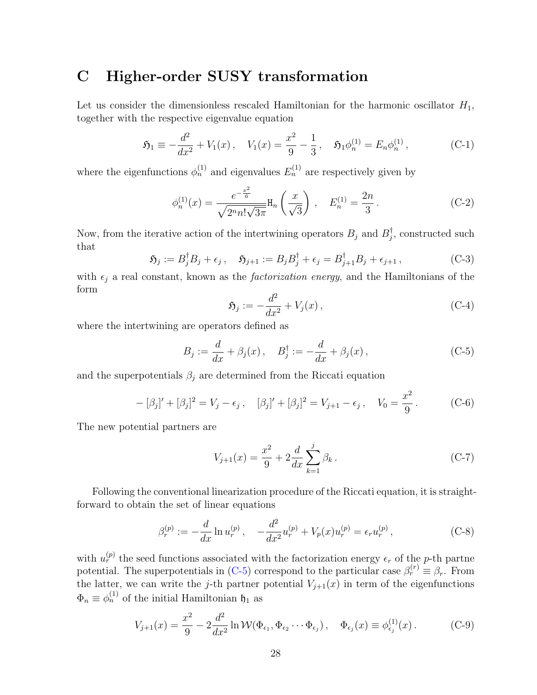## <span id="page-27-0"></span>C Higher-order SUSY transformation

Let us consider the dimensionless rescaled Hamiltonian for the harmonic oscillator  $H_1$ , together with the respective eigenvalue equation

$$
\mathfrak{H}_1 \equiv -\frac{d^2}{dx^2} + V_1(x) \,, \quad V_1(x) = \frac{x^2}{9} - \frac{1}{3} \,, \quad \mathfrak{H}_1 \phi_n^{(1)} = E_n \phi_n^{(1)} \,, \tag{C-1}
$$

where the eigenfunctions  $\phi_n^{(1)}$  and eigenvalues  $E_n^{(1)}$  are respectively given by

$$
\phi_n^{(1)}(x) = \frac{e^{-\frac{x^2}{6}}}{\sqrt{2^n n! \sqrt{3\pi}}} \mathbf{H}_n\left(\frac{x}{\sqrt{3}}\right), \quad E_n^{(1)} = \frac{2n}{3}.
$$
 (C-2)

Now, from the iterative action of the intertwining operators  $B_j$  and  $B_j^{\dagger}$  $j$ , constructed such that

$$
\mathfrak{H}_j := B_j^{\dagger} B_j + \epsilon_j \,, \quad \mathfrak{H}_{j+1} := B_j B_j^{\dagger} + \epsilon_j = B_{j+1}^{\dagger} B_j + \epsilon_{j+1} \,, \tag{C-3}
$$

with  $\epsilon_j$  a real constant, known as the *factorization energy*, and the Hamiltonians of the form

$$
\mathfrak{H}_j := -\frac{d^2}{dx^2} + V_j(x) \,, \tag{C-4}
$$

where the intertwining are operators defined as

<span id="page-27-1"></span>
$$
B_j := \frac{d}{dx} + \beta_j(x), \quad B_j^{\dagger} := -\frac{d}{dx} + \beta_j(x), \tag{C-5}
$$

and the superpotentials  $\beta_j$  are determined from the Riccati equation

$$
- [\beta_j]' + [\beta_j]^2 = V_j - \epsilon_j, \quad [\beta_j]' + [\beta_j]^2 = V_{j+1} - \epsilon_j, \quad V_0 = \frac{x^2}{9}.
$$
 (C-6)

The new potential partners are

$$
V_{j+1}(x) = \frac{x^2}{9} + 2\frac{d}{dx}\sum_{k=1}^{j} \beta_k.
$$
 (C-7)

Following the conventional linearization procedure of the Riccati equation, it is straightforward to obtain the set of linear equations

$$
\beta_r^{(p)} := -\frac{d}{dx} \ln u_r^{(p)}, \quad -\frac{d^2}{dx^2} u_r^{(p)} + V_p(x) u_r^{(p)} = \epsilon_r u_r^{(p)}, \tag{C-8}
$$

with  $u_r^{(p)}$  the seed functions associated with the factorization energy  $\epsilon_r$  of the p-th partne potential. The superpotentials in [\(C-5\)](#page-27-1) correspond to the particular case  $\beta_r^{(r)} \equiv \beta_r$ . From the latter, we can write the j-th partner potential  $V_{j+1}(x)$  in term of the eigenfunctions  $\Phi_n \equiv \phi_n^{(1)}$  of the initial Hamiltonian  $\mathfrak{h}_1$  as

$$
V_{j+1}(x) = \frac{x^2}{9} - 2\frac{d^2}{dx^2} \ln \mathcal{W}(\Phi_{\epsilon_1}, \Phi_{\epsilon_2} \cdots \Phi_{\epsilon_j}), \quad \Phi_{\epsilon_j}(x) \equiv \phi_{\epsilon_j}^{(1)}(x). \tag{C-9}
$$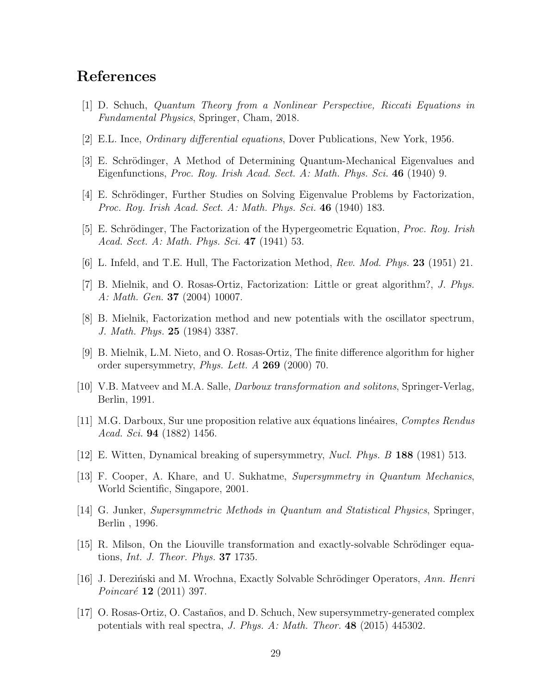## References

- <span id="page-28-0"></span>[1] D. Schuch, Quantum Theory from a Nonlinear Perspective, Riccati Equations in Fundamental Physics, Springer, Cham, 2018.
- <span id="page-28-1"></span>[2] E.L. Ince, Ordinary differential equations, Dover Publications, New York, 1956.
- <span id="page-28-2"></span>[3] E. Schrödinger, A Method of Determining Quantum-Mechanical Eigenvalues and Eigenfunctions, *Proc. Roy. Irish Acad. Sect. A: Math. Phys. Sci.* 46 (1940) 9.
- [4] E. Schrödinger, Further Studies on Solving Eigenvalue Problems by Factorization, Proc. Roy. Irish Acad. Sect. A: Math. Phys. Sci. 46 (1940) 183.
- [5] E. Schrödinger, The Factorization of the Hypergeometric Equation, *Proc. Roy. Irish* Acad. Sect. A: Math. Phys. Sci. 47 (1941) 53.
- $[6]$  L. Infeld, and T.E. Hull, The Factorization Method, Rev. Mod. Phys. 23 (1951) 21.
- [7] B. Mielnik, and O. Rosas-Ortiz, Factorization: Little or great algorithm?, J. Phys. A: Math. Gen. 37 (2004) 10007.
- [8] B. Mielnik, Factorization method and new potentials with the oscillator spectrum, J. Math. Phys. 25 (1984) 3387.
- <span id="page-28-3"></span>[9] B. Mielnik, L.M. Nieto, and O. Rosas-Ortiz, The finite difference algorithm for higher order supersymmetry, *Phys. Lett.*  $A$  **269** (2000) 70.
- <span id="page-28-4"></span>[10] V.B. Matveev and M.A. Salle, Darboux transformation and solitons, Springer-Verlag, Berlin, 1991.
- <span id="page-28-5"></span>[11] M.G. Darboux, Sur une proposition relative aux équations linéaires, *Comptes Rendus* Acad. Sci. 94 (1882) 1456.
- <span id="page-28-6"></span>[12] E. Witten, Dynamical breaking of supersymmetry, Nucl. Phys. B 188 (1981) 513.
- [13] F. Cooper, A. Khare, and U. Sukhatme, Supersymmetry in Quantum Mechanics, World Scientific, Singapore, 2001.
- <span id="page-28-7"></span>[14] G. Junker, Supersymmetric Methods in Quantum and Statistical Physics, Springer, Berlin , 1996.
- <span id="page-28-8"></span>[15] R. Milson, On the Liouville transformation and exactly-solvable Schrödinger equations, Int. J. Theor. Phys. 37 1735.
- <span id="page-28-9"></span>[16] J. Derezinski and M. Wrochna, Exactly Solvable Schrödinger Operators, Ann. Henri *Poincaré* **12** (2011) 397.
- <span id="page-28-10"></span>[17] O. Rosas-Ortiz, O. Castaños, and D. Schuch, New supersymmetry-generated complex potentials with real spectra, J. Phys. A: Math. Theor. **48** (2015) 445302.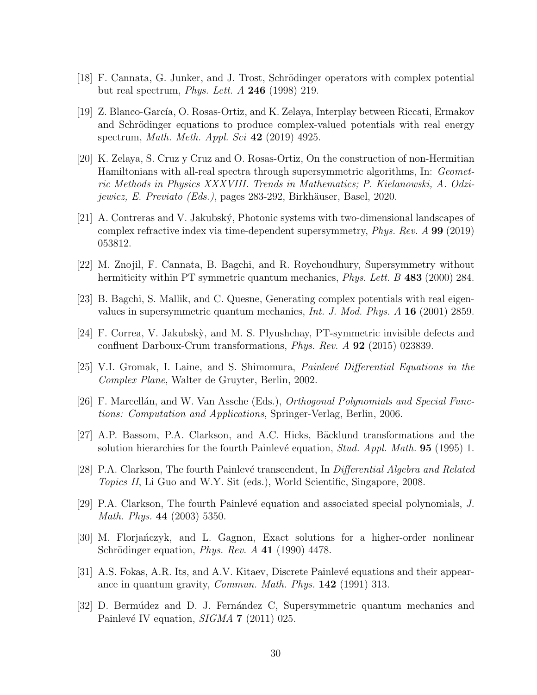- <span id="page-29-0"></span>[18] F. Cannata, G. Junker, and J. Trost, Schrödinger operators with complex potential but real spectrum, Phys. Lett. A 246 (1998) 219.
- <span id="page-29-1"></span>[19] Z. Blanco-Garc´ıa, O. Rosas-Ortiz, and K. Zelaya, Interplay between Riccati, Ermakov and Schrödinger equations to produce complex-valued potentials with real energy spectrum, Math. Meth. Appl. Sci 42 (2019) 4925.
- <span id="page-29-2"></span>[20] K. Zelaya, S. Cruz y Cruz and O. Rosas-Ortiz, On the construction of non-Hermitian Hamiltonians with all-real spectra through supersymmetric algorithms, In: Geometric Methods in Physics XXXVIII. Trends in Mathematics; P. Kielanowski, A. Odzijewicz, E. Previato (Eds.), pages 283-292, Birkhäuser, Basel, 2020.
- <span id="page-29-3"></span>[21] A. Contreras and V. Jakubsk´y, Photonic systems with two-dimensional landscapes of complex refractive index via time-dependent supersymmetry, Phys. Rev. A 99 (2019) 053812.
- [22] M. Znojil, F. Cannata, B. Bagchi, and R. Roychoudhury, Supersymmetry without hermiticity within PT symmetric quantum mechanics, *Phys. Lett. B* 483 (2000) 284.
- [23] B. Bagchi, S. Mallik, and C. Quesne, Generating complex potentials with real eigenvalues in supersymmetric quantum mechanics, Int. J. Mod. Phys. A 16 (2001) 2859.
- <span id="page-29-4"></span>[24] F. Correa, V. Jakubskỳ, and M. S. Plyushchay, PT-symmetric invisible defects and confluent Darboux-Crum transformations, Phys. Rev. A 92 (2015) 023839.
- <span id="page-29-5"></span> $[25]$  V.I. Gromak, I. Laine, and S. Shimomura, *Painlevé Differential Equations in the* Complex Plane, Walter de Gruyter, Berlin, 2002.
- <span id="page-29-6"></span>[26] F. Marcellán, and W. Van Assche (Eds.), *Orthogonal Polynomials and Special Func*tions: Computation and Applications, Springer-Verlag, Berlin, 2006.
- <span id="page-29-7"></span>[27] A.P. Bassom, P.A. Clarkson, and A.C. Hicks, B¨acklund transformations and the solution hierarchies for the fourth Painlevé equation, Stud. Appl. Math.  $95$  (1995) 1.
- <span id="page-29-8"></span>[28] P.A. Clarkson, The fourth Painlevé transcendent, In *Differential Algebra and Related* Topics II, Li Guo and W.Y. Sit (eds.), World Scientific, Singapore, 2008.
- <span id="page-29-9"></span>[29] P.A. Clarkson, The fourth Painlevé equation and associated special polynomials, J. Math. Phys. 44 (2003) 5350.
- <span id="page-29-10"></span>[30] M. Florjanczyk, and L. Gagnon, Exact solutions for a higher-order nonlinear Schrödinger equation, *Phys. Rev. A* 41 (1990) 4478.
- <span id="page-29-11"></span>[31] A.S. Fokas, A.R. Its, and A.V. Kitaev, Discrete Painlevé equations and their appearance in quantum gravity, *Commun. Math. Phys.* **142** (1991) 313.
- <span id="page-29-12"></span>[32] D. Bermúdez and D. J. Fernández C, Supersymmetric quantum mechanics and Painlevé IV equation, *SIGMA* 7 (2011) 025.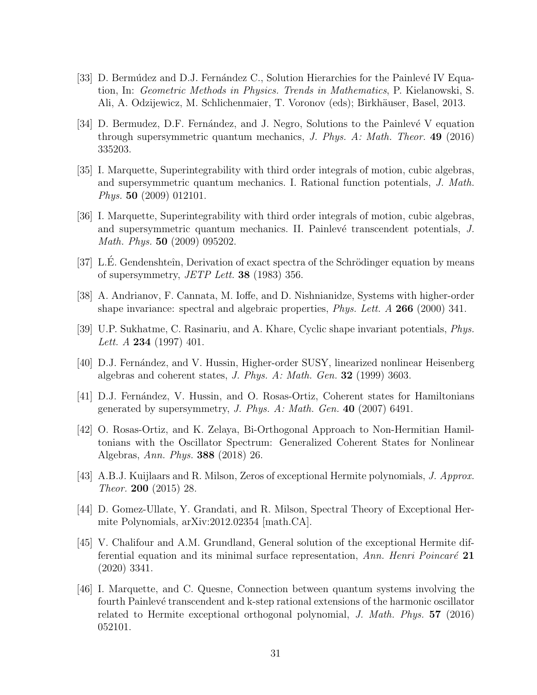- [33] D. Bermúdez and D.J. Fernández C., Solution Hierarchies for the Painlevé IV Equation, In: Geometric Methods in Physics. Trends in Mathematics, P. Kielanowski, S. Ali, A. Odzijewicz, M. Schlichenmaier, T. Voronov (eds); Birkhäuser, Basel, 2013.
- [34] D. Bermudez, D.F. Fernández, and J. Negro, Solutions to the Painlevé V equation through supersymmetric quantum mechanics, J. Phys. A: Math. Theor. 49 (2016) 335203.
- <span id="page-30-11"></span>[35] I. Marquette, Superintegrability with third order integrals of motion, cubic algebras, and supersymmetric quantum mechanics. I. Rational function potentials, J. Math. Phys. 50 (2009) 012101.
- <span id="page-30-0"></span>[36] I. Marquette, Superintegrability with third order integrals of motion, cubic algebras, and supersymmetric quantum mechanics. II. Painlevé transcendent potentials, J. Math. Phys. 50 (2009) 095202.
- <span id="page-30-1"></span>[37] L.E. Gendenshteîn, Derivation of exact spectra of the Schrödinger equation by means of supersymmetry, JETP Lett. 38 (1983) 356.
- <span id="page-30-2"></span>[38] A. Andrianov, F. Cannata, M. Ioffe, and D. Nishnianidze, Systems with higher-order shape invariance: spectral and algebraic properties, *Phys. Lett. A* **266** (2000) 341.
- <span id="page-30-3"></span>[39] U.P. Sukhatme, C. Rasinariu, and A. Khare, Cyclic shape invariant potentials, Phys. *Lett.* A **234** (1997) 401.
- <span id="page-30-4"></span>[40] D.J. Fern´andez, and V. Hussin, Higher-order SUSY, linearized nonlinear Heisenberg algebras and coherent states,  $J. Phys. A: Math. Gen. 32 (1999) 3603.$
- <span id="page-30-5"></span>[41] D.J. Fern´andez, V. Hussin, and O. Rosas-Ortiz, Coherent states for Hamiltonians generated by supersymmetry, J. Phys. A: Math. Gen.  $40$  (2007) 6491.
- <span id="page-30-6"></span>[42] O. Rosas-Ortiz, and K. Zelaya, Bi-Orthogonal Approach to Non-Hermitian Hamiltonians with the Oscillator Spectrum: Generalized Coherent States for Nonlinear Algebras, Ann. Phys. 388 (2018) 26.
- <span id="page-30-7"></span>[43] A.B.J. Kuijlaars and R. Milson, Zeros of exceptional Hermite polynomials, J. Approx. Theor. 200 (2015) 28.
- <span id="page-30-8"></span>[44] D. Gomez-Ullate, Y. Grandati, and R. Milson, Spectral Theory of Exceptional Hermite Polynomials, arXiv:2012.02354 [math.CA].
- <span id="page-30-9"></span>[45] V. Chalifour and A.M. Grundland, General solution of the exceptional Hermite differential equation and its minimal surface representation, Ann. Henri Poincaré 21 (2020) 3341.
- <span id="page-30-10"></span>[46] I. Marquette, and C. Quesne, Connection between quantum systems involving the fourth Painlevé transcendent and k-step rational extensions of the harmonic oscillator related to Hermite exceptional orthogonal polynomial, J. Math. Phys. 57 (2016) 052101.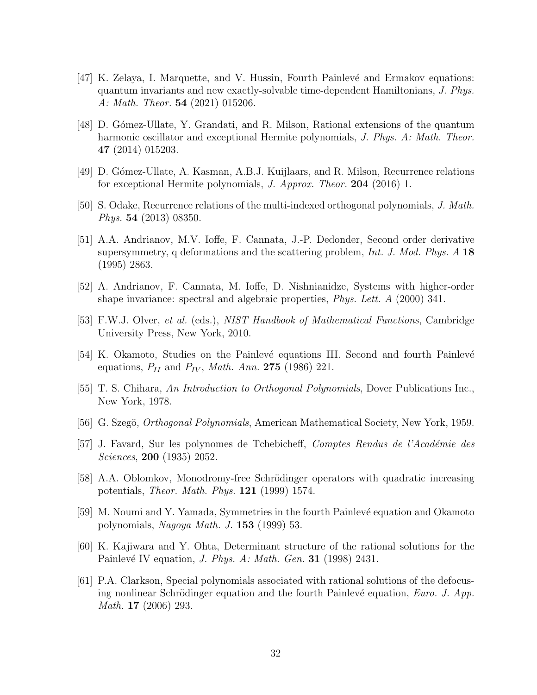- <span id="page-31-0"></span>[47] K. Zelaya, I. Marquette, and V. Hussin, Fourth Painlevé and Ermakov equations: quantum invariants and new exactly-solvable time-dependent Hamiltonians, J. Phys. A: Math. Theor. 54 (2021) 015206.
- <span id="page-31-1"></span>[48] D. Gómez-Ullate, Y. Grandati, and R. Milson, Rational extensions of the quantum harmonic oscillator and exceptional Hermite polynomials, J. Phys. A: Math. Theor. 47 (2014) 015203.
- <span id="page-31-13"></span>[49] D. G´omez-Ullate, A. Kasman, A.B.J. Kuijlaars, and R. Milson, Recurrence relations for exceptional Hermite polynomials, J. Approx. Theor. 204 (2016) 1.
- <span id="page-31-2"></span>[50] S. Odake, Recurrence relations of the multi-indexed orthogonal polynomials, J. Math. Phys. 54 (2013) 08350.
- <span id="page-31-3"></span>[51] A.A. Andrianov, M.V. Ioffe, F. Cannata, J.-P. Dedonder, Second order derivative supersymmetry, q deformations and the scattering problem, *Int. J. Mod. Phys. A* 18 (1995) 2863.
- <span id="page-31-4"></span>[52] A. Andrianov, F. Cannata, M. Ioffe, D. Nishnianidze, Systems with higher-order shape invariance: spectral and algebraic properties, Phys. Lett. A (2000) 341.
- <span id="page-31-5"></span>[53] F.W.J. Olver, et al. (eds.), NIST Handbook of Mathematical Functions, Cambridge University Press, New York, 2010.
- <span id="page-31-6"></span>[54] K. Okamoto, Studies on the Painlevé equations III. Second and fourth Painlevé equations,  $P_{II}$  and  $P_{IV}$ , Math. Ann. 275 (1986) 221.
- <span id="page-31-7"></span>[55] T. S. Chihara, An Introduction to Orthogonal Polynomials, Dover Publications Inc., New York, 1978.
- <span id="page-31-8"></span>[56] G. Szegö, *Orthogonal Polynomials*, American Mathematical Society, New York, 1959.
- <span id="page-31-9"></span>[57] J. Favard, Sur les polynomes de Tchebicheff, Comptes Rendus de l'Académie des Sciences, 200 (1935) 2052.
- <span id="page-31-10"></span>[58] A.A. Oblomkov, Monodromy-free Schrödinger operators with quadratic increasing potentials, Theor. Math. Phys. 121 (1999) 1574.
- <span id="page-31-11"></span>[59] M. Noumi and Y. Yamada, Symmetries in the fourth Painlevé equation and Okamoto polynomials, Nagoya Math. J. 153 (1999) 53.
- [60] K. Kajiwara and Y. Ohta, Determinant structure of the rational solutions for the Painlevé IV equation, *J. Phys. A: Math. Gen.* **31** (1998) 2431.
- <span id="page-31-12"></span>[61] P.A. Clarkson, Special polynomials associated with rational solutions of the defocusing nonlinear Schrödinger equation and the fourth Painlevé equation, Euro. J. App. Math. 17 (2006) 293.